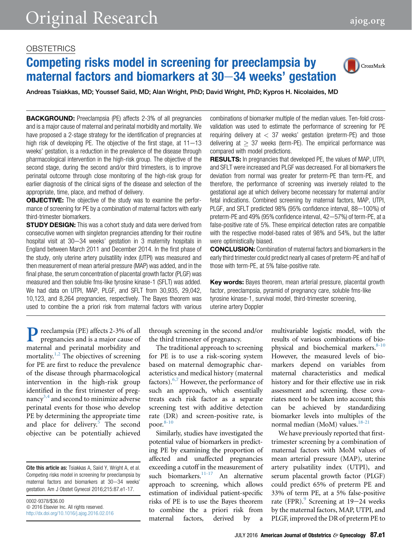### **OBSTETRICS**

# Competing risks model in screening for preeclampsia by maternal factors and biomarkers at  $30-34$  weeks' gestation



Andreas Tsiakkas, MD; Youssef Saiid, MD; Alan Wright, PhD; David Wright, PhD; Kypros H. Nicolaides, MD

BACKGROUND: Preeclampsia (PE) affects 2-3% of all pregnancies and is a major cause of maternal and perinatal morbidity and mortality. We have proposed a 2-stage strategy for the identification of pregnancies at high risk of developing PE. The objective of the first stage, at  $11-13$ weeks' gestation, is a reduction in the prevalence of the disease through pharmacological intervention in the high-risk group. The objective of the second stage, during the second and/or third trimesters, is to improve perinatal outcome through close monitoring of the high-risk group for earlier diagnosis of the clinical signs of the disease and selection of the appropriate, time, place, and method of delivery.

**OBJECTIVE:** The objective of the study was to examine the performance of screening for PE by a combination of maternal factors with early third-trimester biomarkers.

**STUDY DESIGN:** This was a cohort study and data were derived from consecutive women with singleton pregnancies attending for their routine hospital visit at  $30-34$  weeks' gestation in 3 maternity hospitals in England between March 2011 and December 2014. In the first phase of the study, only uterine artery pulsatility index (UTPI) was measured and then measurement of mean arterial pressure (MAP) was added, and in the final phase, the serum concentration of placental growth factor (PLGF) was measured and then soluble fms-like tyrosine kinase-1 (SFLT) was added. We had data on UTPI, MAP, PLGF, and SFLT from 30,935, 29,042, 10,123, and 8,264 pregnancies, respectively. The Bayes theorem was used to combine the a priori risk from maternal factors with various

combinations of biomarker multiple of the median values. Ten-fold crossvalidation was used to estimate the performance of screening for PE requiring delivery at  $<$  37 weeks' gestation (preterm-PE) and those delivering at  $> 37$  weeks (term-PE). The empirical performance was compared with model predictions.

RESULTS: In pregnancies that developed PE, the values of MAP, UTPI, and SFLT were increased and PLGF was decreased. For all biomarkers the deviation from normal was greater for preterm-PE than term-PE, and therefore, the performance of screening was inversely related to the gestational age at which delivery become necessary for maternal and/or fetal indications. Combined screening by maternal factors, MAP, UTPI, PLGF, and SFLT predicted 98% (95% confidence interval, 88-100%) of preterm-PE and 49% (95% confidence interval, 42-57%) of term-PE, at a false-positive rate of 5%. These empirical detection rates are compatible with the respective model-based rates of 98% and 54%, but the latter were optimistically biased.

CONCLUSION: Combination of maternal factors and biomarkers in the early third trimester could predict nearly all cases of preterm-PE and half of those with term-PE, at 5% false-positive rate.

Key words: Bayes theorem, mean arterial pressure, placental growth factor, preeclampsia, pyramid of pregnancy care, soluble fms-like tyrosine kinase-1, survival model, third-trimester screening, uterine artery Doppler

Preeclampsia (PE) affects 2-3% of all pregnancies and is a major cause of maternal and perinatal morbidity and mortality.<sup>[1,2](#page-8-0)</sup> The objectives of screening for PE are first to reduce the prevalence of the disease through pharmacological intervention in the high-risk group identified in the first trimester of pregnancy $3,4$  and second to minimize adverse perinatal events for those who develop PE by determining the appropriate time and place for delivery.<sup>5</sup> The second objective can be potentially achieved

0002-9378/\$36.00  $© 2016 Elsevier Inc. All rights reserved.$ <http://dx.doi.org/10.1016/j.ajog.2016.02.016> through screening in the second and/or the third trimester of pregnancy.

The traditional approach to screening for PE is to use a risk-scoring system based on maternal demographic characteristics and medical history (maternal factors).[6,7](#page-8-0) However, the performance of such an approach, which essentially treats each risk factor as a separate screening test with additive detection rate (DR) and screen-positive rate, is poor. $8-10$ 

Similarly, studies have investigated the potential value of biomarkers in predicting PE by examining the proportion of affected and unaffected pregnancies exceeding a cutoff in the measurement of such biomarkers.<sup>11-17</sup> An alternative approach to screening, which allows estimation of individual patient-specific risks of PE is to use the Bayes theorem to combine the a priori risk from maternal factors, derived by a

multivariable logistic model, with the results of various combinations of bio-physical and biochemical markers.<sup>[8-10](#page-8-0)</sup> However, the measured levels of biomarkers depend on variables from maternal characteristics and medical history and for their effective use in risk assessment and screening. these covariates need to be taken into account; this can be achieved by standardizing biomarker levels into multiples of the normal median (MoM) values.<sup>[18-21](#page-8-0)</sup>

We have previously reported that firsttrimester screening by a combination of maternal factors with MoM values of mean arterial pressure (MAP), uterine artery pulsatility index (UTPI), and serum placental growth factor (PLGF) could predict 65% of preterm PE and 33% of term PE, at a 5% false-positive rate (FPR).<sup>[9](#page-8-0)</sup> Screening at 19–24 weeks by the maternal factors, MAP, UTPI, and PLGF, improved the DR of preterm PE to

Cite this article as: Tsiakkas A, Saiid Y, Wright A, et al. Competing risks model in screening for preeclampsia by maternal factors and biomarkers at 30-34 weeks' gestation. Am J Obstet Gynecol 2016;215:87.e1-17.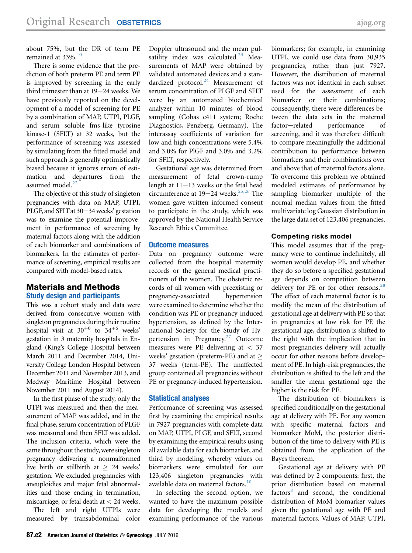about 75%, but the DR of term PE remained at 33%.<sup>[10](#page-8-0)</sup>

There is some evidence that the prediction of both preterm PE and term PE is improved by screening in the early third trimester than at  $19-24$  weeks. We have previously reported on the development of a model of screening for PE by a combination of MAP, UTPI, PLGF, and serum soluble fms-like tyrosine kinase-1 (SFLT) at 32 weeks, but the performance of screening was assessed by simulating from the fitted model and such approach is generally optimistically biased because it ignores errors of estimation and departures from the assumed model.<sup>22</sup>

The objective of this study of singleton pregnancies with data on MAP, UTPI, PLGF, and SFLT at 30-34 weeks' gestation was to examine the potential improvement in performance of screening by maternal factors along with the addition of each biomarker and combinations of biomarkers. In the estimates of performance of screening, empirical results are compared with model-based rates.

#### Materials and Methods Study design and participants

This was a cohort study and data were derived from consecutive women with singleton pregnancies during their routine hospital visit at  $30^{+0}$  to  $34^{+6}$  weeks' gestation in 3 maternity hospitals in England (King's College Hospital between March 2011 and December 2014, University College London Hospital between December 2011 and November 2013, and Medway Maritime Hospital between November 2011 and August 2014).

In the first phase of the study, only the UTPI was measured and then the measurement of MAP was added, and in the final phase, serum concentration of PLGF was measured and then SFLT was added. The inclusion criteria, which were the same throughout the study, were singleton pregnancy delivering a nonmalformed live birth or stillbirth at  $\geq 24$  weeks' gestation. We excluded pregnancies with aneuploidies and major fetal abnormalities and those ending in termination, miscarriage, or fetal death at  $<$  24 weeks.

The left and right UTPIs were measured by transabdominal color Doppler ultrasound and the mean pulsatility index was calculated. $^{23}$  $^{23}$  $^{23}$  Measurements of MAP were obtained by validated automated devices and a standardized protocol. $24$  Measurement of serum concentration of PLGF and SFLT were by an automated biochemical analyzer within 10 minutes of blood sampling (Cobas e411 system; Roche Diagnostics, Penzberg, Germany). The interassay coefficients of variation for low and high concentrations were 5.4% and 3.0% for PlGF and 3.0% and 3.2% for SFLT, respectively.

Gestational age was determined from measurement of fetal crown-rump length at  $11-13$  weeks or the fetal head circumference at  $19-24$  weeks.<sup>[25,26](#page-9-0)</sup> The women gave written informed consent to participate in the study, which was approved by the National Health Service Research Ethics Committee.

#### Outcome measures

Data on pregnancy outcome were collected from the hospital maternity records or the general medical practitioners of the women. The obstetric records of all women with preexisting or pregnancy-associated hypertension were examined to determine whether the condition was PE or pregnancy-induced hypertension, as defined by the International Society for the Study of Hy-pertension in Pregnancy.<sup>[27](#page-9-0)</sup> Outcome measures were PE delivering at < 37 weeks' gestation (preterm-PE) and at 37 weeks (term-PE). The unaffected group contained all pregnancies without PE or pregnancy-induced hypertension.

#### Statistical analyses

Performance of screening was assessed first by examining the empirical results in 7927 pregnancies with complete data on MAP, UTPI, PLGF, and SFLT, second by examining the empirical results using all available data for each biomarker, and third by modeling, whereby values on biomarkers were simulated for our 123,406 singleton pregnancies with available data on maternal factors.<sup>[10](#page-8-0)</sup>

In selecting the second option, we wanted to have the maximum possible data for developing the models and examining performance of the various

biomarkers; for example, in examining UTPI, we could use data from 30,935 pregnancies, rather than just 7927. However, the distribution of maternal factors was not identical in each subset used for the assessment of each biomarker or their combinations; consequently, there were differences between the data sets in the maternal factor-related performance of screening, and it was therefore difficult to compare meaningfully the additional contribution to performance between biomarkers and their combinations over and above that of maternal factors alone. To overcome this problem we obtained modeled estimates of performance by sampling biomarker multiple of the normal median values from the fitted multivariate log Gaussian distribution in the large data set of 123,406 pregnancies.

#### Competing risks model

This model assumes that if the pregnancy were to continue indefinitely, all women would develop PE, and whether they do so before a specified gestational age depends on competition between delivery for PE or for other reasons. $^{28}$  $^{28}$  $^{28}$ The effect of each maternal factor is to modify the mean of the distribution of gestational age at delivery with PE so that in pregnancies at low risk for PE the gestational age, distribution is shifted to the right with the implication that in most pregnancies delivery will actually occur for other reasons before development of PE. In high-risk pregnancies, the distribution is shifted to the left and the smaller the mean gestational age the higher is the risk for PE.

The distribution of biomarkers is specified conditionally on the gestational age at delivery with PE. For any women with specific maternal factors and biomarker MoM, the posterior distribution of the time to delivery with PE is obtained from the application of the Bayes theorem.

Gestational age at delivery with PE was defined by 2 components: first, the prior distribution based on maternal factors<sup>[8](#page-8-0)</sup> and second, the conditional distribution of MoM biomarker values given the gestational age with PE and maternal factors. Values of MAP, UTPI,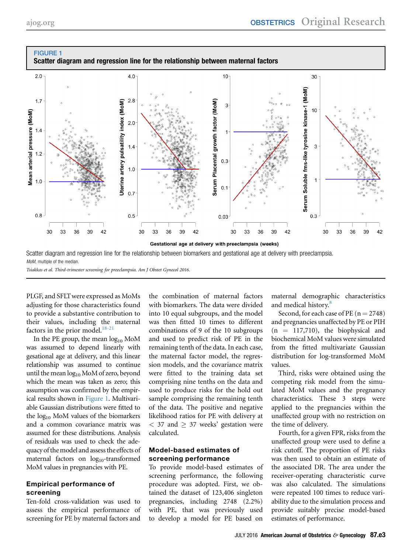<span id="page-2-0"></span>

Scatter diagram and regression line for the relationship between biomarkers and gestational age at delivery with preeclampsia. MoM, multiple of the median.

Tsiakkas et al. Third-trimester screening for preeclampsia. Am J Obstet Gynecol 2016.

PLGF, and SFLTwere expressed as MoMs adjusting for those characteristics found to provide a substantive contribution to their values, including the maternal factors in the prior model.<sup>[18-21](#page-8-0)</sup>

In the PE group, the mean  $log_{10}$  MoM was assumed to depend linearly with gesational age at delivery, and this linear relationship was assumed to continue until the mean  $log_{10}$  MoM of zero, beyond which the mean was taken as zero; this assumption was confirmed by the empirical results shown in Figure 1. Multivariable Gaussian distributions were fitted to the  $log_{10}$  MoM values of the biomarkers and a common covariance matrix was assumed for these distributions. Analysis of residuals was used to check the adequacy of themodel and assess the effects of maternal factors on  $log_{10}$ -transformed MoM values in pregnancies with PE.

#### Empirical performance of screening

Ten-fold cross-validation was used to assess the empirical performance of screening for PE by maternal factors and the combination of maternal factors with biomarkers. The data were divided into 10 equal subgroups, and the model was then fitted 10 times to different combinations of 9 of the 10 subgroups and used to predict risk of PE in the remaining tenth of the data. In each case, the maternal factor model, the regression models, and the covariance matrix were fitted to the training data set comprising nine tenths on the data and used to produce risks for the hold out sample comprising the remaining tenth of the data. The positive and negative likelihood ratios for PE with delivery at  $<$  37 and  $\geq$  37 weeks' gestation were calculated.

#### Model-based estimates of screening performance

To provide model-based estimates of screening performance, the following procedure was adopted. First, we obtained the dataset of 123,406 singleton pregnancies, including 2748 (2.2%) with PE, that was previously used to develop a model for PE based on

maternal demographic characteristics and medical history.<sup>[8](#page-8-0)</sup>

Second, for each case of PE  $(n = 2748)$ and pregnancies unaffected by PE or PIH  $(n = 117,710)$ , the biophysical and biochemical MoM values were simulated from the fitted multivariate Gaussian distribution for log-transformed MoM values.

Third, risks were obtained using the competing risk model from the simulated MoM values and the pregnancy characteristics. These 3 steps were applied to the pregnancies within the unaffected group with no restriction on the time of delivery.

Fourth, for a given FPR, risks from the unaffected group were used to define a risk cutoff. The proportion of PE risks was then used to obtain an estimate of the associated DR. The area under the receiver-operating characteristic curve was also calculated. The simulations were repeated 100 times to reduce variability due to the simulation process and provide suitably precise model-based estimates of performance.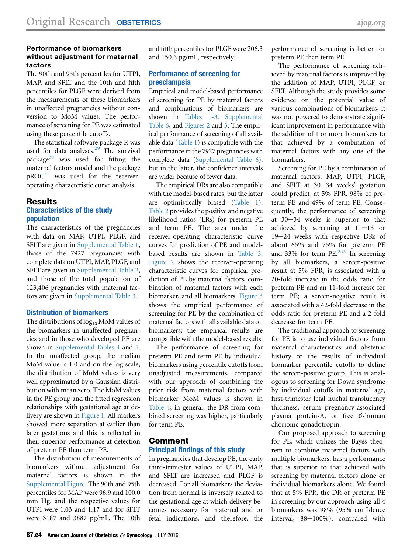#### Performance of biomarkers without adjustment for maternal factors

The 90th and 95th percentiles for UTPI, MAP, and SFLT and the 10th and fifth percentiles for PLGF were derived from the measurements of these biomarkers in unaffected pregnancies without conversion to MoM values. The performance of screening for PE was estimated using these percentile cutoffs.

The statistical software package R was used for data analyses.<sup>[29](#page-9-0)</sup> The survival package<sup>[30](#page-9-0)</sup> was used for fitting the maternal factors model and the package  $pROC<sup>31</sup>$  $pROC<sup>31</sup>$  $pROC<sup>31</sup>$  was used for the receiveroperating characteristic curve analysis.

# Results

#### Characteristics of the study population

The characteristics of the pregnancies with data on MAP, UTPI, PLGF, and SFLT are given in [Supplemental Table 1,](#page-10-0) those of the 7927 pregnancies with complete data on UTPI, MAP, PLGF, and SFLT are given in [Supplemental Table 2,](#page-12-0) and those of the total population of 123,406 pregnancies with maternal factors are given in [Supplemental Table 3.](#page-13-0)

#### Distribution of biomarkers

The distributions of  $log_{10}$  MoM values of the biomarkers in unaffected pregnancies and in those who developed PE are shown in [Supplemental Tables 4](#page-14-0) and [5.](#page-14-0) In the unaffected group, the median MoM value is 1.0 and on the log scale, the distribution of MoM values is very well approximated by a Gaussian distribution with mean zero. The MoM values in the PE group and the fitted regression relationships with gestational age at delivery are shown in [Figure 1.](#page-2-0) All markers showed more separation at earlier than later gestations and this is reflected in their superior performance at detection of preterm PE than term PE.

The distribution of measurements of biomarkers without adjustment for maternal factors is shown in the [Supplemental Figure.](#page-16-0) The 90th and 95th percentiles for MAP were 96.9 and 100.0 mm Hg, and the respective values for UTPI were 1.03 and 1.17 and for SFLT were 3187 and 3887 pg/mL. The 10th

and fifth percentiles for PLGF were 206.3 and 150.6 pg/mL, respectively.

#### Performance of screening for preeclampsia

Empirical and model-based performance of screening for PE by maternal factors and combinations of biomarkers are shown in [Tables 1-3,](#page-4-0) [Supplemental](#page-15-0) [Table 6](#page-15-0), and [Figures 2](#page-7-0) and [3](#page-7-0). The empirical performance of screening of all available data [\(Table 1](#page-4-0)) is compatible with the performance in the 7927 pregnancies with complete data ([Supplemental Table 6\)](#page-15-0), but in the latter, the confidence intervals are wider because of fewer data.

The empirical DRs are also compatible with the model-based rates, but the latter are optimistically biased [\(Table 1\)](#page-4-0). [Table 2](#page-5-0) provides the positive and negative likelihood ratios (LRs) for preterm PE and term PE. The area under the receiver-operating characteristic curve curves for prediction of PE and modelbased results are shown in [Table 3](#page-6-0). [Figure 2](#page-7-0) shows the receiver-operating characteristic curves for empirical prediction of PE by maternal factors, combination of maternal factors with each biomarker, and all biomarkers. [Figure 3](#page-7-0) shows the empirical performance of screening for PE by the combination of maternal factors with all available data on biomarkers; the empirical results are compatible with the model-based results.

The performance of screening for preterm PE and term PE by individual biomarkers using percentile cutoffs from unadjusted measurements, compared with our approach of combining the prior risk from maternal factors with biomarker MoM values is shown in [Table 4;](#page-8-0) in general, the DR from combined screening was higher, particularly for term PE.

#### Comment Principal findings of this study

In pregnancies that develop PE, the early third-trimester values of UTPI, MAP, and SFLT are increased and PLGF is decreased. For all biomarkers the deviation from normal is inversely related to the gestational age at which delivery becomes necessary for maternal and or fetal indications, and therefore, the performance of screening is better for preterm PE than term PE.

The performance of screening achieved by maternal factors is improved by the addition of MAP, UTPI, PLGF, or SFLT. Although the study provides some evidence on the potential value of various combinations of biomarkers, it was not powered to demonstrate significant improvement in performance with the addition of 1 or more biomarkers to that achieved by a combination of maternal factors with any one of the biomarkers.

Screening for PE by a combination of maternal factors, MAP, UTPI, PLGF, and SFLT at  $30-34$  weeks' gestation could predict, at 5% FPR, 98% of preterm PE and 49% of term PE. Consequently, the performance of screening at  $30-34$  weeks is superior to that achieved by screening at  $11-13$  or 19-24 weeks with respective DRs of about 65% and 75% for preterm PE and 33% for term PE. $9,10$  In screening by all biomarkers, a screen-positive result at 5% FPR, is associated with a 20-fold increase in the odds ratio for preterm PE and an 11-fold increase for term PE; a screen-negative result is associated with a 42-fold decrease in the odds ratio for preterm PE and a 2-fold decrease for term PE.

The traditional approach to screening for PE is to use individual factors from maternal characteristics and obstetric history or the results of individual biomarker percentile cutoffs to define the screen-positive group. This is analogous to screening for Down syndrome by individual cutoffs in maternal age, first-trimester fetal nuchal translucency thickness, serum pregnancy-associated plasma protein-A, or free  $\beta$ -human chorionic gonadotropin.

Our proposed approach to screening for PE, which utilizes the Bayes theorem to combine maternal factors with multiple biomarkers, has a performance that is superior to that achieved with screening by maternal factors alone or individual biomarkers alone. We found that at 5% FPR, the DR of preterm PE in screening by our approach using all 4 biomarkers was 98% (95% confidence interval, 88-100%), compared with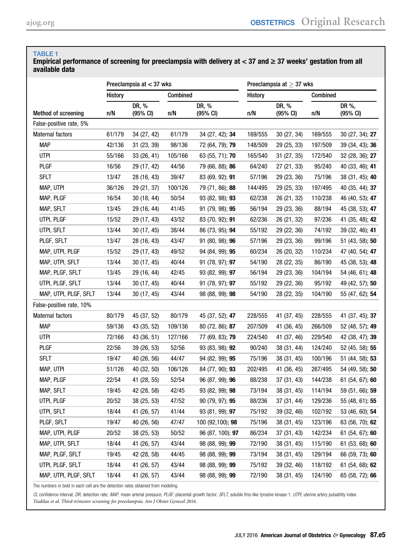#### <span id="page-4-0"></span>Empirical performance of screening for preeclampsia with delivery at  $<$  37 and  $\geq$  37 weeks' gestation from all available data

|                          | Preeclampsia at < 37 wks |                             |          | Preeclampsia at $\geq$ 37 wks |                |                             |          |                    |
|--------------------------|--------------------------|-----------------------------|----------|-------------------------------|----------------|-----------------------------|----------|--------------------|
|                          | <b>History</b>           |                             | Combined |                               | <b>History</b> |                             | Combined |                    |
| Method of screening      | n/N                      | DR, %<br>$(95% \text{ Cl})$ | n/N      | DR, %<br>$(95% \text{ Cl})$   | n/N            | DR, %<br>$(95% \text{ Cl})$ | n/N      | DR %,<br>(95% CI)  |
| False-positive rate, 5%  |                          |                             |          |                               |                |                             |          |                    |
| <b>Maternal factors</b>  | 61/179                   | 34 (27, 42)                 | 61/179   | 34 (27, 42); 34               | 169/555        | 30 (27, 34)                 | 169/555  | 30 (27, 34); 27    |
| <b>MAP</b>               | 42/136                   | 31 (23, 39)                 | 98/136   | 72 (64, 79); 79               | 148/509        | 29 (25, 33)                 | 197/509  | 39 (34, 43); 36    |
| <b>UTPI</b>              | 55/166                   | 33(26, 41)                  | 105/166  | 63 (55, 71); 70               | 165/540        | 31 (27, 35)                 | 172/540  | 32 (28, 36); 27    |
| PLGF                     | 16/56                    | 29 (17, 42)                 | 44/56    | 79 (66, 88); 86               | 64/240         | 27 (21, 33)                 | 95/240   | 40 (33, 46); 41    |
| <b>SFLT</b>              | 13/47                    | 28 (16, 43)                 | 39/47    | 83 (69, 92); 91               | 57/196         | 29 (23, 36)                 | 75/196   | 38 (31, 45); 40    |
| MAP, UTPI                | 36/126                   | 29 (21, 37)                 | 100/126  | 79 (71, 86); 88               | 144/495        | 29 (25, 33)                 | 197/495  | 40 (35, 44); 37    |
| MAP, PLGF                | 16/54                    | 30(18, 44)                  | 50/54    | 93 (82, 98); 93               | 62/238         | 26 (21, 32)                 | 110/238  | 46 (40, 53); 47    |
| MAP, SFLT                | 13/45                    | 29 (16, 44)                 | 41/45    | 91 (79, 98); 95               | 56/194         | 29 (23, 36)                 | 88/194   | 45 (38, 53); 47    |
| UTPI, PLGF               | 15/52                    | 29 (17, 43)                 | 43/52    | 83 (70, 92); 91               | 62/236         | 26 (21, 32)                 | 97/236   | 41 (35, 48); 42    |
| UTPI, SFLT               | 13/44                    | 30(17, 45)                  | 38/44    | 86 (73, 95); 94               | 55/192         | 29 (22, 36)                 | 74/192   | 39 (32, 46); 41    |
| PLGF, SFLT               | 13/47                    | 28 (16, 43)                 | 43/47    | 91 (80, 98); 96               | 57/196         | 29 (23, 36)                 | 99/196   | 51 (43, 58); 50    |
| MAP, UTPI, PLGF          | 15/52                    | 29 (17, 43)                 | 49/52    | 94 (84, 99); 95               | 60/234         | 26 (20, 32)                 | 110/234  | 47 (40, 54); 47    |
| MAP, UTPI, SFLT          | 13/44                    | 30(17, 45)                  | 40/44    | 91 (78, 97); 97               | 54/190         | 28 (22, 35)                 | 86/190   | 45 (38, 53); 48    |
| MAP, PLGF, SFLT          | 13/45                    | 29 (16, 44)                 | 42/45    | 93 (82, 99); 97               | 56/194         | 29 (23, 36)                 | 104/194  | 54 (46, 61); 48    |
| UTPI, PLGF, SFLT         | 13/44                    | 30(17, 45)                  | 40/44    | 91 (78, 97); 97               | 55/192         | 29 (22, 36)                 | 95/192   | 49 (42, 57); 50    |
| MAP, UTPI, PLGF, SFLT    | 13/44                    | 30(17, 45)                  | 43/44    | 98 (88, 99); 98               | 54/190         | 28 (22, 35)                 | 104/190  | 55 (47, 62); 54    |
| False-positive rate, 10% |                          |                             |          |                               |                |                             |          |                    |
| <b>Maternal factors</b>  | 80/179                   | 45 (37, 52)                 | 80/179   | 45 (37, 52); 47               | 228/555        | 41 (37, 45)                 | 228/555  | 41 (37, 45); 37    |
| <b>MAP</b>               | 59/136                   | 43 (35, 52)                 | 109/136  | 80 (72, 86); 87               | 207/509        | 41 (36, 45)                 | 266/509  | 52 (48, 57); 49    |
| <b>UTPI</b>              | 72/166                   | 43 (36, 51)                 | 127/166  | 77 (69, 83); 79               | 224/540        | 41 (37, 46)                 | 229/540  | 42 (38, 47); 39    |
| <b>PLGF</b>              | 22/56                    | 39 (26, 53)                 | 52/56    | 93 (83, 98); 92               | 90/240         | 38 (31, 44)                 | 124/240  | 52 (45, 58); 55    |
| <b>SFLT</b>              | 19/47                    | 40 (26, 56)                 | 44/47    | 94 (82, 99); 95               | 75/196         | 38 (31, 45)                 | 100/196  | 51 (44, 58); 53    |
| MAP, UTPI                | 51/126                   | 40 (32, 50)                 | 106/126  | 84 (77, 90); 93               | 202/495        | 41 (36, 45)                 | 267/495  | 54 (49, 58); 50    |
| MAP, PLGF                | 22/54                    | 41 (28, 55)                 | 52/54    | 96 (87, 99); 96               | 88/238         | 37(31, 43)                  | 144/238  | 61 (54, 67); 60    |
| MAP, SFLT                | 19/45                    | 42 (28, 58)                 | 42/45    | 93 (82, 99); 98               | 73/194         | 38 (31, 45)                 | 114/194  | 59 (51, 66); 59    |
| UTPI, PLGF               | 20/52                    | 38 (25, 53)                 | 47/52    | 90 (79, 97); 95               | 88/236         | 37 (31, 44)                 | 129/236  | 55 (48, 61); 55    |
| UTPI, SFLT               | 18/44                    | 41 (26, 57)                 | 41/44    | 93 (81, 99); 97               | 75/192         | 39 (32, 46)                 | 102/192  | 53 (46, 60); 54    |
| PLGF, SFLT               | 19/47                    | 40 (26, 56)                 | 47/47    | 100 (92,100); 98              | 75/196         | 38 (31, 45)                 | 123/196  | 63 (56, 70); 62    |
| MAP, UTPI, PLGF          | 20/52                    | 38(25, 53)                  | 50/52    | 96 (87, 100); 97              | 86/234         | 37 (31, 43)                 | 142/234  | 61 (54, 67); 60    |
| MAP, UTPI, SFLT          | 18/44                    | 41 (26, 57)                 | 43/44    | 98 (88, 99); 99               | 72/190         | 38 (31, 45)                 | 115/190  | 61 $(53, 68)$ ; 60 |
| MAP, PLGF, SFLT          | 19/45                    | 42 (28, 58)                 | 44/45    | 98 (88, 99); 99               | 73/194         | 38 (31, 45)                 | 129/194  | 66 (59, 73); 60    |
| UTPI, PLGF, SFLT         | 18/44                    | 41 (26, 57)                 | 43/44    | 98 (88, 99); 99               | 75/192         | 39 (32, 46)                 | 118/192  | 61 (54, 68); 62    |
| MAP, UTPI, PLGF, SFLT    | 18/44                    | 41 (26, 57)                 | 43/44    | 98 (88, 99); 99               | 72/190         | 38 (31, 45)                 | 124/190  | 65 (58, 72); 66    |

The numbers in bold in each cell are the detection rates obtained from modeling.

CI, confidence interval; DR, detection rate; MAP, mean arterial pressure; PLGF, placental growth factor; SFLT, soluble fms-like tyrosine kinase-1; UTPI, uterine artery pulsatility index.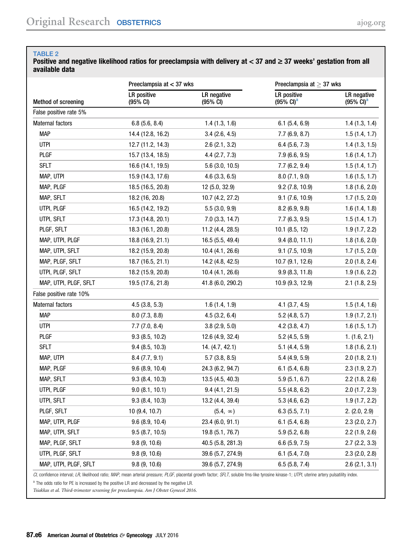<span id="page-5-0"></span>Positive and negative likelihood ratios for preeclampsia with delivery at  $<$  37 and  $\geq$  37 weeks' gestation from all available data

|                         | Preeclampsia at $<$ 37 wks     |                         | Preeclampsia at $>$ 37 wks                  |                                      |  |
|-------------------------|--------------------------------|-------------------------|---------------------------------------------|--------------------------------------|--|
| Method of screening     | <b>LR</b> positive<br>(95% CI) | LR negative<br>(95% CI) | <b>LR</b> positive<br>$(95\% \text{ Cl})^a$ | LR negative<br>$(95\% \text{ Cl})^a$ |  |
| False positive rate 5%  |                                |                         |                                             |                                      |  |
| Maternal factors        | 6.8(5.6, 8.4)                  | 1.4(1.3, 1.6)           | 6.1(5.4, 6.9)                               | 1.4(1.3, 1.4)                        |  |
| <b>MAP</b>              | 14.4 (12.8, 16.2)              | 3.4(2.6, 4.5)           | 7.7(6.9, 8.7)                               | 1.5(1.4, 1.7)                        |  |
| <b>UTPI</b>             | 12.7 (11.2, 14.3)              | 2.6(2.1, 3.2)           | 6.4(5.6, 7.3)                               | 1.4(1.3, 1.5)                        |  |
| <b>PLGF</b>             | 15.7 (13.4, 18.5)              | 4.4(2.7, 7.3)           | 7.9(6.6, 9.5)                               | 1.6(1.4, 1.7)                        |  |
| <b>SFLT</b>             | 16.6 (14.1, 19.5)              | $5.6$ (3.0, 10.5)       | 7.7(6.2, 9.4)                               | 1.5(1.4, 1.7)                        |  |
| MAP, UTPI               | 15.9 (14.3, 17.6)              | $4.6$ (3.3, 6.5)        | 8.0(7.1, 9.0)                               | 1.6(1.5, 1.7)                        |  |
| MAP, PLGF               | 18.5 (16.5, 20.8)              | 12 (5.0, 32.9)          | 9.2(7.8, 10.9)                              | 1.8(1.6, 2.0)                        |  |
| MAP, SFLT               | 18.2 (16, 20.8)                | 10.7 (4.2, 27.2)        | 9.1(7.6, 10.9)                              | 1.7(1.5, 2.0)                        |  |
| UTPI, PLGF              | 16.5 (14.2, 19.2)              | 5.5(3.0, 9.9)           | 8.2(6.9, 9.8)                               | 1.6(1.4, 1.8)                        |  |
| UTPI, SFLT              | 17.3 (14.8, 20.1)              | $7.0$ (3.3, 14.7)       | 7.7(6.3, 9.5)                               | 1.5(1.4, 1.7)                        |  |
| PLGF, SFLT              | 18.3 (16.1, 20.8)              | 11.2 (4.4, 28.5)        | $10.1$ $(8.5, 12)$                          | 1.9(1.7, 2.2)                        |  |
| MAP, UTPI, PLGF         | 18.8 (16.9, 21.1)              | 16.5 (5.5, 49.4)        | 9.4(8.0, 11.1)                              | 1.8(1.6, 2.0)                        |  |
| MAP, UTPI, SFLT         | 18.2 (15.9, 20.8)              | 10.4(4.1, 26.6)         | 9.1(7.5, 10.9)                              | 1.7(1.5, 2.0)                        |  |
| MAP, PLGF, SFLT         | 18.7 (16.5, 21.1)              | 14.2 (4.8, 42.5)        | 10.7 (9.1, 12.6)                            | $2.0$ (1.8, 2.4)                     |  |
| UTPI, PLGF, SFLT        | 18.2 (15.9, 20.8)              | 10.4(4.1, 26.6)         | 9.9(8.3, 11.8)                              | 1.9(1.6, 2.2)                        |  |
| MAP, UTPI, PLGF, SFLT   | 19.5 (17.6, 21.8)              | 41.8 (6.0, 290.2)       | 10.9 (9.3, 12.9)                            | $2.1$ (1.8, 2.5)                     |  |
| False positive rate 10% |                                |                         |                                             |                                      |  |
| <b>Maternal factors</b> | 4.5(3.8, 5.3)                  | 1.6(1.4, 1.9)           | $4.1$ $(3.7, 4.5)$                          | 1.5(1.4, 1.6)                        |  |
| <b>MAP</b>              | 8.0(7.3, 8.8)                  | 4.5(3.2, 6.4)           | $5.2$ (4.8, 5.7)                            | 1.9(1.7, 2.1)                        |  |
| <b>UTPI</b>             | 7.7(7.0, 8.4)                  | 3.8(2.9, 5.0)           | $4.2$ (3.8, 4.7)                            | 1.6(1.5, 1.7)                        |  |
| <b>PLGF</b>             | 9.3(8.5, 10.2)                 | 12.6 (4.9, 32.4)        | 5.2(4.5, 5.9)                               | 1. (1.6, 2.1)                        |  |
| <b>SFLT</b>             | 9.4(8.5, 10.3)                 | 14. (4.7, 42.1)         | 5.1(4.4, 5.9)                               | 1.8(1.6, 2.1)                        |  |
| MAP, UTPI               | 8.4(7.7, 9.1)                  | 5.7(3.8, 8.5)           | 5.4(4.9, 5.9)                               | 2.0(1.8, 2.1)                        |  |
| MAP, PLGF               | 9.6(8.9, 10.4)                 | 24.3 (6.2, 94.7)        | 6.1(5.4, 6.8)                               | 2.3(1.9, 2.7)                        |  |
| MAP, SFLT               | 9.3(8.4, 10.3)                 | 13.5 (4.5, 40.3)        | 5.9(5.1, 6.7)                               | 2.2(1.8, 2.6)                        |  |
| UTPI, PLGF              | 9.0(8.1, 10.1)                 | 9.4(4.1, 21.5)          | 5.5(4.8, 6.2)                               | 2.0(1.7, 2.3)                        |  |
| utpi, sflt              | 9.3(8.4, 10.3)                 | 13.2 (4.4, 39.4)        | 5.3(4.6, 6.2)                               | 1.9(1.7, 2.2)                        |  |
| PLGF, SFLT              | 10 (9.4, 10.7)                 | $(5.4, \infty)$         | 6.3(5.5, 7.1)                               | 2. (2.0, 2.9)                        |  |
| MAP, UTPI, PLGF         | 9.6(8.9, 10.4)                 | 23.4 (6.0, 91.1)        | $6.1$ (5.4, 6.8)                            | $2.3$ (2.0, 2.7)                     |  |
| MAP, UTPI, SFLT         | 9.5(8.7, 10.5)                 | 19.8 (5.1, 76.7)        | 5.9(5.2, 6.8)                               | $2.2$ (1.9, 2.6)                     |  |
| MAP, PLGF, SFLT         | 9.8(9, 10.6)                   | 40.5 (5.8, 281.3)       | 6.6(5.9, 7.5)                               | $2.7$ (2.2, 3.3)                     |  |
| UTPI, PLGF, SFLT        | 9.8(9, 10.6)                   | 39.6 (5.7, 274.9)       | $6.1$ (5.4, 7.0)                            | $2.3$ ( $2.0$ , $2.8$ )              |  |
| MAP, UTPI, PLGF, SFLT   | 9.8(9, 10.6)                   | 39.6 (5.7, 274.9)       | 6.5(5.8, 7.4)                               | 2.6(2.1, 3.1)                        |  |

CI, confidence interval; LR, likelihood ratio; MAP, mean arterial pressure; PLGF, placental growth factor; SFLT, soluble fms-like tyrosine kinase-1; UTPI, uterine artery pulsatility index.

<sup>a</sup> The odds ratio for PE is increased by the positive LR and decreased by the negative LR.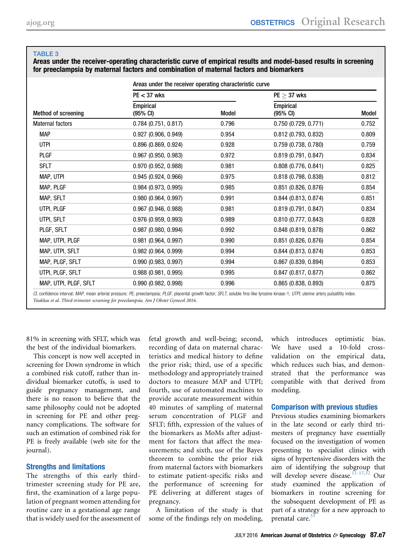<span id="page-6-0"></span>Areas under the receiver-operating characteristic curve of empirical results and model-based results in screening for preeclampsia by maternal factors and combination of maternal factors and biomarkers

|                            | Areas under the receiver operating characteristic curve |       |                                        |       |  |  |  |
|----------------------------|---------------------------------------------------------|-------|----------------------------------------|-------|--|--|--|
|                            | $PE < 37$ wks                                           |       | $PE \geq 37$ wks                       |       |  |  |  |
| <b>Method of screening</b> | <b>Empirical</b><br>(95% CI)                            | Model | <b>Empirical</b><br>$(95% \text{ Cl})$ | Model |  |  |  |
| Maternal factors           | $0.784$ (0.751, 0.817)                                  | 0.796 | 0.750(0.729, 0.771)                    | 0.752 |  |  |  |
| <b>MAP</b>                 | 0.927 (0.906, 0.949)                                    | 0.954 | 0.812(0.793, 0.832)                    | 0.809 |  |  |  |
| <b>UTPI</b>                | $0.896$ (0.869, 0.924)                                  | 0.928 | 0.759 (0.738, 0.780)                   | 0.759 |  |  |  |
| <b>PLGF</b>                | $0.967$ (0.950, 0.983)                                  | 0.972 | 0.819(0.791, 0.847)                    | 0.834 |  |  |  |
| <b>SFLT</b>                | 0.970(0.952, 0.988)                                     | 0.981 | 0.808(0.776, 0.841)                    | 0.825 |  |  |  |
| MAP, UTPI                  | 0.945(0.924, 0.966)                                     | 0.975 | 0.818(0.798, 0.838)                    | 0.812 |  |  |  |
| MAP, PLGF                  | 0.984 (0.973, 0.995)                                    | 0.985 | $0.851$ (0.826, 0.876)                 | 0.854 |  |  |  |
| MAP, SFLT                  | 0.980(0.964, 0.997)                                     | 0.991 | $0.844$ (0.813, 0.874)                 | 0.851 |  |  |  |
| UTPI, PLGF                 | $0.967$ (0.946, 0.988)                                  | 0.981 | 0.819(0.791, 0.847)                    | 0.834 |  |  |  |
| UTPI, SFLT                 | 0.976(0.959, 0.993)                                     | 0.989 | 0.810(0.777, 0.843)                    | 0.828 |  |  |  |
| PLGF, SFLT                 | $0.987$ (0.980, 0.994)                                  | 0.992 | 0.848 (0.819, 0.878)                   | 0.862 |  |  |  |
| MAP, UTPI, PLGF            | $0.981$ (0.964, 0.997)                                  | 0.990 | $0.851$ (0.826, 0.876)                 | 0.854 |  |  |  |
| MAP, UTPI, SFLT            | 0.982(0.964, 0.999)                                     | 0.994 | $0.844$ (0.813, 0.874)                 | 0.853 |  |  |  |
| MAP, PLGF, SFLT            | 0.990 (0.983, 0.997)                                    | 0.994 | $0.867$ (0.839, 0.894)                 | 0.853 |  |  |  |
| UTPI, PLGF, SFLT           | 0.988(0.981, 0.995)                                     | 0.995 | $0.847$ (0.817, 0.877)                 | 0.862 |  |  |  |
| MAP, UTPI, PLGF, SFLT      | 0.990(0.982, 0.998)                                     | 0.996 | $0.865$ (0.838, 0.893)                 | 0.875 |  |  |  |
|                            |                                                         |       |                                        |       |  |  |  |

CI, confidence interval; MAP, mean arterial pressure; PE, preeclampsia; PLGF, placental growth factor; SFLT, soluble fms-like tyrosine kinase-1; UTPI, uterine artery pulsatility index. Tsiakkas et al. Third-trimester screening for preeclampsia. Am J Obstet Gynecol 2016.

81% in screening with SFLT, which was the best of the individual biomarkers.

This concept is now well accepted in screening for Down syndrome in which a combined risk cutoff, rather than individual biomarker cutoffs, is used to guide pregnancy management, and there is no reason to believe that the same philosophy could not be adopted in screening for PE and other pregnancy complications. The software for such an estimation of combined risk for PE is freely available (web site for the journal).

#### Strengths and limitations

The strengths of this early thirdtrimester screening study for PE are, first, the examination of a large population of pregnant women attending for routine care in a gestational age range that is widely used for the assessment of fetal growth and well-being; second, recording of data on maternal characteristics and medical history to define the prior risk; third, use of a specific methodology and appropriately trained doctors to measure MAP and UTPI; fourth, use of automated machines to provide accurate measurement within 40 minutes of sampling of maternal serum concentration of PLGF and SFLT; fifth, expression of the values of the biomarkers as MoMs after adjustment for factors that affect the measurements; and sixth, use of the Bayes theorem to combine the prior risk from maternal factors with biomarkers to estimate patient-specific risks and the performance of screening for PE delivering at different stages of pregnancy.

A limitation of the study is that some of the findings rely on modeling,

which introduces optimistic bias. We have used a 10-fold crossvalidation on the empirical data, which reduces such bias, and demonstrated that the performance was compatible with that derived from modeling.

#### Comparison with previous studies

Previous studies examining biomarkers in the late second or early third trimesters of pregnancy have essentially focused on the investigation of women presenting to specialist clinics with signs of hypertensive disorders with the aim of identifying the subgroup that will develop severe disease.<sup>[11-17,32](#page-8-0)</sup> Our study examined the application of biomarkers in routine screening for the subsequent development of PE as part of a strategy for a new approach to prenatal care. $3$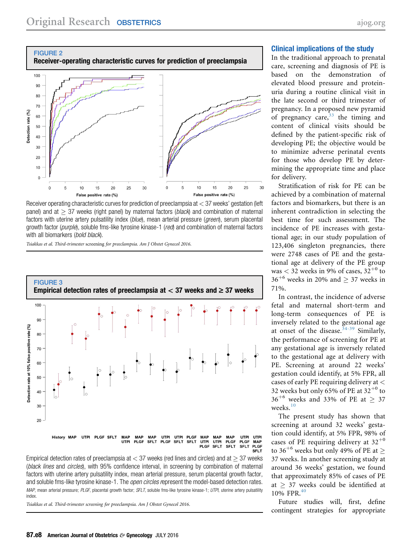<span id="page-7-0"></span>



Receiver operating characteristic curves for prediction of preeclampsia at < 37 weeks' gestation (left panel) and at  $>$  37 weeks (right panel) by maternal factors (*black*) and combination of maternal factors with uterine artery pulsatility index (blue), mean arterial pressure (green), serum placental growth factor (purple), soluble fms-like tyrosine kinase-1 (red) and combination of maternal factors with all biomarkers (bold black).

Tsiakkas et al. Third-trimester screening for preeclampsia. Am J Obstet Gynecol 2016.



Empirical detection rates of preeclampsia at  $<$  37 weeks (red lines and circles) and at  $>$  37 weeks (black lines and circles), with 95% confidence interval, in screening by combination of maternal factors with uterine artery pulsatility index, mean arterial pressure, serum placental growth factor, and soluble fms-like tyrosine kinase-1. The *open circles r*epresent the model-based detection rates. MAP, mean arterial pressure; PLGF, placental growth factor; SFLT, soluble fms-like tyrosine kinase-1; UTPI, uterine artery pulsatility index.

Tsiakkas et al. Third-trimester screening for preeclampsia. Am J Obstet Gynecol 2016.

#### Clinical implications of the study

In the traditional approach to prenatal care, screening and diagnosis of PE is based on the demonstration of elevated blood pressure and proteinuria during a routine clinical visit in the late second or third trimester of pregnancy. In a proposed new pyramid of pregnancy care,  $33$  the timing and content of clinical visits should be defined by the patient-specific risk of developing PE; the objective would be to minimize adverse perinatal events for those who develop PE by determining the appropriate time and place for delivery.

Stratification of risk for PE can be achieved by a combination of maternal factors and biomarkers, but there is an inherent contradiction in selecting the best time for such assessment. The incidence of PE increases with gestational age; in our study population of 123,406 singleton pregnancies, there were 2748 cases of PE and the gestational age at delivery of the PE group was  $<$  32 weeks in 9% of cases, 32<sup>+0</sup> to  $36^{+6}$  weeks in 20% and > 37 weeks in 71%.

In contrast, the incidence of adverse fetal and maternal short-term and long-term consequences of PE is inversely related to the gestational age at onset of the disease.<sup>[34-39](#page-9-0)</sup> Similarly, the performance of screening for PE at any gestational age is inversely related to the gestational age at delivery with PE. Screening at around 22 weeks' gestation could identify, at 5% FPR, all cases of early PE requiring delivery at  $\lt$ 32 weeks but only 65% of PE at  $32^{+0}$  to  $36^{+6}$  weeks and 33% of PE at > 37  $\,$  weeks.  $^{10}$  $^{10}$  $^{10}$ 

The present study has shown that screening at around 32 weeks' gestation could identify, at 5% FPR, 98% of cases of PE requiring delivery at  $32^{+0}$ to 36<sup>+6</sup> weeks but only 49% of PE at  $\geq$ 37 weeks. In another screening study at around 36 weeks' gestation, we found that approximately 85% of cases of PE at  $> 37$  weeks could be identified at 10% FPR.<sup>[40](#page-9-0)</sup>

Future studies will, first, define contingent strategies for appropriate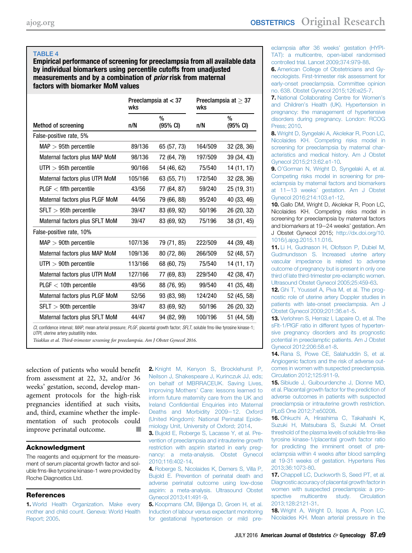<span id="page-8-0"></span>Empirical performance of screening for preeclampsia from all available data by individual biomarkers using percentile cutoffs from unadjusted measurements and by a combination of prior risk from maternal factors with biomarker MoM values

|                                | Preeclampsia at $<$ 37<br>wks |                                     | wks     | Preeclampsia at $\geq 37$ |  |
|--------------------------------|-------------------------------|-------------------------------------|---------|---------------------------|--|
| <b>Method of screening</b>     | n/N                           | $\frac{0}{0}$<br>$(95% \text{ Cl})$ | n/N     | %<br>(95% CI)             |  |
| False-positive rate, 5%        |                               |                                     |         |                           |  |
| $MAP > 95th$ percentile        | 89/136                        | 65 (57, 73)                         | 164/509 | 32(28, 36)                |  |
| Maternal factors plus MAP MoM  | 98/136                        | 72 (64, 79)                         | 197/509 | 39 (34, 43)               |  |
| $UTPI > 95th$ percentile       | 90/166                        | 54 (46, 62)                         | 75/540  | 14 (11, 17)               |  |
| Maternal factors plus UTPI MoM | 105/166                       | 63 (55, 71)                         | 172/540 | 32 (28, 36)               |  |
| $PLGF <$ fifth percentile      | 43/56                         | 77 (64, 87)                         | 59/240  | 25 (19, 31)               |  |
| Maternal factors plus PLGF MoM | 44/56                         | 79 (66, 88)                         | 95/240  | 40 (33, 46)               |  |
| $SFLT > 95th$ percentile       | 39/47                         | 83 (69, 92)                         | 50/196  | 26 (20, 32)               |  |
| Maternal factors plus SFLT MoM | 39/47                         | 83 (69, 92)                         | 75/196  | 38 (31, 45)               |  |
| False-positive rate, 10%       |                               |                                     |         |                           |  |
| $MAP > 90th$ percentile        | 107/136                       | 79 (71, 85)                         | 222/509 | 44 (39, 48)               |  |
| Maternal factors plus MAP MoM  | 109/136                       | 80 (72, 86)                         | 266/509 | 52 (48, 57)               |  |
| $UTPI > 90th$ percentile       | 113/166                       | 68 (60, 75)                         | 75/540  | 14 (11, 17)               |  |
| Maternal factors plus UTPI MoM | 127/166                       | 77 (69, 83)                         | 229/540 | 42 (38, 47)               |  |
| $PLGF < 10$ th percentile      | 49/56                         | 88 (76, 95)                         | 99/540  | 41 (35, 48)               |  |
| Maternal factors plus PLGF MoM | 52/56                         | 93 (83, 98)                         | 124/240 | 52 (45, 58)               |  |
| $SFLT > 90th$ percentile       | 39/47                         | 83 (69, 92)                         | 50/196  | 26 (20, 32)               |  |
| Maternal factors plus SFLT MoM | 44/47                         | 94 (82, 99)                         | 100/196 | 51 (44, 58)               |  |

UTPI, uterine artery pulsatility index.

Tsiakkas et al. Third-trimester screening for preeclampsia. Am J Obstet Gynecol 2016.

selection of patients who would benefit from assessment at 22, 32, and/or 36 weeks' gestation, second, develop management protocols for the high-risk pregnancies identified at such visits, and, third, examine whether the implementation of such protocols could improve perinatal outcome.

#### Acknowledgment

The reagents and equipment for the measurement of serum placental growth factor and soluble fms-like tyrosine kinase-1 were provided by Roche Diagnostics Ltd.

#### References

1. [World Health Organization. Make every](http://refhub.elsevier.com/S0002-9378(16)00300-8/sref1) [mother and child count. Geneva: World Health](http://refhub.elsevier.com/S0002-9378(16)00300-8/sref1) [Report; 2005.](http://refhub.elsevier.com/S0002-9378(16)00300-8/sref1)

2. [Knight M, Kenyon S, Brocklehurst P,](http://refhub.elsevier.com/S0002-9378(16)00300-8/sref2) [Neilson J, Shakespeare J, Kurinczuk JJ, eds;](http://refhub.elsevier.com/S0002-9378(16)00300-8/sref2) [on behalf of MBRRACEUK. Saving Lives,](http://refhub.elsevier.com/S0002-9378(16)00300-8/sref2) Improving Mothers' [Care: lessons learned to](http://refhub.elsevier.com/S0002-9378(16)00300-8/sref2) [inform future maternity care from the UK and](http://refhub.elsevier.com/S0002-9378(16)00300-8/sref2) Ireland Confi[dential Enquiries into Maternal](http://refhub.elsevier.com/S0002-9378(16)00300-8/sref2) [Deaths and Morbidity 2009](http://refhub.elsevier.com/S0002-9378(16)00300-8/sref2)-12. Oxford [\(United Kingdom\): National Perinatal Epide](http://refhub.elsevier.com/S0002-9378(16)00300-8/sref2)[miology Unit, University of Oxford; 2014.](http://refhub.elsevier.com/S0002-9378(16)00300-8/sref2)

3. [Bujold E, Roberge S, Lacasse Y, et al. Pre](http://refhub.elsevier.com/S0002-9378(16)00300-8/sref3)[vention of preeclampsia and intrauterine growth](http://refhub.elsevier.com/S0002-9378(16)00300-8/sref3) [restriction with aspirin started in early preg](http://refhub.elsevier.com/S0002-9378(16)00300-8/sref3)[nancy: a meta-analysis. Obstet Gynecol](http://refhub.elsevier.com/S0002-9378(16)00300-8/sref3) [2010;116:402-14](http://refhub.elsevier.com/S0002-9378(16)00300-8/sref3).

4. [Roberge S, Nicolaides K, Demers S, Villa P,](http://refhub.elsevier.com/S0002-9378(16)00300-8/sref4) [Bujold E. Prevention of perinatal death and](http://refhub.elsevier.com/S0002-9378(16)00300-8/sref4) [adverse perinatal outcome using low-dose](http://refhub.elsevier.com/S0002-9378(16)00300-8/sref4) [aspirin: a meta-analysis. Ultrasound Obstet](http://refhub.elsevier.com/S0002-9378(16)00300-8/sref4) [Gynecol 2013;41:491-9](http://refhub.elsevier.com/S0002-9378(16)00300-8/sref4).

5. [Koopmans CM, Bijlenga D, Groen H, et al.](http://refhub.elsevier.com/S0002-9378(16)00300-8/sref5) [Induction of labour versus expectant monitoring](http://refhub.elsevier.com/S0002-9378(16)00300-8/sref5) [for gestational hypertension or mild pre-](http://refhub.elsevier.com/S0002-9378(16)00300-8/sref5)

[eclampsia after 36 weeks](http://refhub.elsevier.com/S0002-9378(16)00300-8/sref5)' gestation (HYPI-[TAT\): a multicentre, open-label randomised](http://refhub.elsevier.com/S0002-9378(16)00300-8/sref5) [controlled trial. Lancet 2009;374:979-88.](http://refhub.elsevier.com/S0002-9378(16)00300-8/sref5)

6. [American College of Obstetricians and Gy](http://refhub.elsevier.com/S0002-9378(16)00300-8/sref6)[necologists. First-trimester risk assessment for](http://refhub.elsevier.com/S0002-9378(16)00300-8/sref6) [early-onset preeclampsia. Committee opinion](http://refhub.elsevier.com/S0002-9378(16)00300-8/sref6) [no. 638. Obstet Gynecol 2015;126:e25-7.](http://refhub.elsevier.com/S0002-9378(16)00300-8/sref6)

7. [National Collaborating Centre for Women](http://refhub.elsevier.com/S0002-9378(16)00300-8/sref7)'s and Children'[s Health \(UK\). Hypertension in](http://refhub.elsevier.com/S0002-9378(16)00300-8/sref7) [pregnancy: the management of hypertensive](http://refhub.elsevier.com/S0002-9378(16)00300-8/sref7) [disorders during pregnancy. London: RCOG](http://refhub.elsevier.com/S0002-9378(16)00300-8/sref7) [Press; 2010.](http://refhub.elsevier.com/S0002-9378(16)00300-8/sref7)

8. [Wright D, Syngelaki A, Akolekar R, Poon LC,](http://refhub.elsevier.com/S0002-9378(16)00300-8/sref8) [Nicolaides KH. Competing risks model in](http://refhub.elsevier.com/S0002-9378(16)00300-8/sref8) [screening for preeclampsia by maternal char](http://refhub.elsevier.com/S0002-9378(16)00300-8/sref8)[acteristics and medical history. Am J Obstet](http://refhub.elsevier.com/S0002-9378(16)00300-8/sref8) [Gynecol 2015;213:62.e1-10](http://refhub.elsevier.com/S0002-9378(16)00300-8/sref8).

9. O'[Gorman N, Wright D, Syngelaki A, et al.](http://refhub.elsevier.com/S0002-9378(16)00300-8/sref9) [Competing risks model in screening for pre](http://refhub.elsevier.com/S0002-9378(16)00300-8/sref9)[eclampsia by maternal factors and biomarkers](http://refhub.elsevier.com/S0002-9378(16)00300-8/sref9) at 11-13 weeks' [gestation. Am J Obstet](http://refhub.elsevier.com/S0002-9378(16)00300-8/sref9) [Gynecol 2016;214:103.e1-12.](http://refhub.elsevier.com/S0002-9378(16)00300-8/sref9)

10. Gallo DM, Wright D, Akolekar R, Poon LC, Nicolaides KH. Competing risks model in screening for preeclampsia by maternal factors and biomarkers at 19-24 weeks' gestation. Am J Obstet Gynecol 2015; [http://dx.doi.org/10.](http://dx.doi.org/10.1016/j.ajog.2015.11.016) [1016/j.ajog.2015.11.016](http://dx.doi.org/10.1016/j.ajog.2015.11.016).

11. [Li H, Gudnason H, Olofsson P, Dubiel M,](http://refhub.elsevier.com/S0002-9378(16)00300-8/sref11) [Gudmundsson S. Increased uterine artery](http://refhub.elsevier.com/S0002-9378(16)00300-8/sref11) [vascular impedance is related to adverse](http://refhub.elsevier.com/S0002-9378(16)00300-8/sref11) [outcome of pregnancy but is present in only one](http://refhub.elsevier.com/S0002-9378(16)00300-8/sref11) [third of late third-trimester pre-eclamptic women.](http://refhub.elsevier.com/S0002-9378(16)00300-8/sref11) [Ultrasound Obstet Gynecol 2005;25:459-63](http://refhub.elsevier.com/S0002-9378(16)00300-8/sref11).

12. [Ghi T, Youssef A, Piva M, et al. The prog](http://refhub.elsevier.com/S0002-9378(16)00300-8/sref12)[nostic role of uterine artery Doppler studies in](http://refhub.elsevier.com/S0002-9378(16)00300-8/sref12) [patients with late-onset preeclampsia. Am J](http://refhub.elsevier.com/S0002-9378(16)00300-8/sref12) [Obstet Gynecol 2009;201:36.e1-5](http://refhub.elsevier.com/S0002-9378(16)00300-8/sref12).

13. [Verlohren S, Herraiz I, Lapaire O, et al. The](http://refhub.elsevier.com/S0002-9378(16)00300-8/sref13) [sFlt-1/PlGF ratio in different types of hyperten](http://refhub.elsevier.com/S0002-9378(16)00300-8/sref13)[sive pregnancy disorders and its prognostic](http://refhub.elsevier.com/S0002-9378(16)00300-8/sref13) [potential in preeclamptic patients. Am J Obstet](http://refhub.elsevier.com/S0002-9378(16)00300-8/sref13) [Gynecol 2012;206:58.e1-8](http://refhub.elsevier.com/S0002-9378(16)00300-8/sref13).

14. [Rana S, Powe CE, Salahuddin S, et al.](http://refhub.elsevier.com/S0002-9378(16)00300-8/sref14) [Angiogenic factors and the risk of adverse out](http://refhub.elsevier.com/S0002-9378(16)00300-8/sref14)[comes in women with suspected preeclampsia.](http://refhub.elsevier.com/S0002-9378(16)00300-8/sref14) [Circulation 2012;125:911-9.](http://refhub.elsevier.com/S0002-9378(16)00300-8/sref14)

15. [Sibiude J, Guibourdenche J, Dionne MD,](http://refhub.elsevier.com/S0002-9378(16)00300-8/sref15) [et al. Placental growth factor for the prediction of](http://refhub.elsevier.com/S0002-9378(16)00300-8/sref15) [adverse outcomes in patients with suspected](http://refhub.elsevier.com/S0002-9378(16)00300-8/sref15) [preeclampsia or intrauterine growth restriction.](http://refhub.elsevier.com/S0002-9378(16)00300-8/sref15) [PLoS One 2012;7:e50208.](http://refhub.elsevier.com/S0002-9378(16)00300-8/sref15)

16. [Ohkuchi A, Hirashima C, Takahashi K,](http://refhub.elsevier.com/S0002-9378(16)00300-8/sref16) [Suzuki H, Matsubara S, Suzuki M. Onset](http://refhub.elsevier.com/S0002-9378(16)00300-8/sref16) [threshold of the plasma levels of soluble fms-like](http://refhub.elsevier.com/S0002-9378(16)00300-8/sref16) [tyrosine kinase-1/placental growth factor ratio](http://refhub.elsevier.com/S0002-9378(16)00300-8/sref16) [for predicting the imminent onset of pre](http://refhub.elsevier.com/S0002-9378(16)00300-8/sref16)[eclampsia within 4 weeks after blood sampling](http://refhub.elsevier.com/S0002-9378(16)00300-8/sref16) [at 19-31 weeks of gestation. Hypertens Res](http://refhub.elsevier.com/S0002-9378(16)00300-8/sref16) [2013;36:1073-80](http://refhub.elsevier.com/S0002-9378(16)00300-8/sref16).

17. [Chappell LC, Duckworth S, Seed PT, et al.](http://refhub.elsevier.com/S0002-9378(16)00300-8/sref17) [Diagnostic accuracy of placental growth factor in](http://refhub.elsevier.com/S0002-9378(16)00300-8/sref17) [women with suspected preeclampsia: a pro](http://refhub.elsevier.com/S0002-9378(16)00300-8/sref17)[spective multicentre study. Circulation](http://refhub.elsevier.com/S0002-9378(16)00300-8/sref17) [2013;128:2121-31.](http://refhub.elsevier.com/S0002-9378(16)00300-8/sref17)

18. [Wright A, Wright D, Ispas A, Poon LC,](http://refhub.elsevier.com/S0002-9378(16)00300-8/sref18) [Nicolaides KH. Mean arterial pressure in the](http://refhub.elsevier.com/S0002-9378(16)00300-8/sref18)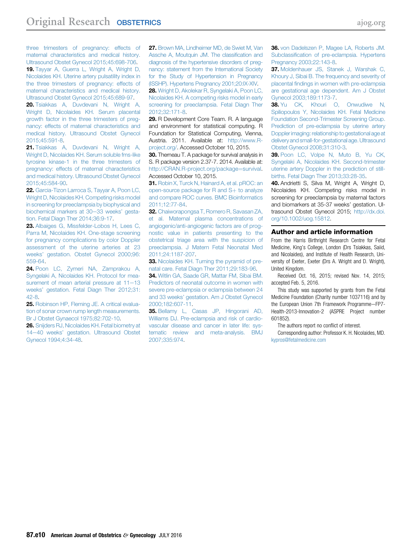<span id="page-9-0"></span>[three trimesters of pregnancy: effects of](http://refhub.elsevier.com/S0002-9378(16)00300-8/sref18) [maternal characteristics and medical history.](http://refhub.elsevier.com/S0002-9378(16)00300-8/sref18) [Ultrasound Obstet Gynecol 2015;45:698-706.](http://refhub.elsevier.com/S0002-9378(16)00300-8/sref18) 19. [Tayyar A, Guerra L, Wright A, Wright D,](http://refhub.elsevier.com/S0002-9378(16)00300-8/sref19) [Nicolaides KH. Uterine artery pulsatility index in](http://refhub.elsevier.com/S0002-9378(16)00300-8/sref19) [the three trimesters of pregnancy: effects of](http://refhub.elsevier.com/S0002-9378(16)00300-8/sref19) [maternal characteristics and medical history.](http://refhub.elsevier.com/S0002-9378(16)00300-8/sref19) [Ultrasound Obstet Gynecol 2015;45:689-97](http://refhub.elsevier.com/S0002-9378(16)00300-8/sref19).

20. [Tsiakkas A, Duvdevani N, Wright A,](http://refhub.elsevier.com/S0002-9378(16)00300-8/sref20) [Wright D, Nicolaides KH. Serum placental](http://refhub.elsevier.com/S0002-9378(16)00300-8/sref20) [growth factor in the three trimesters of preg](http://refhub.elsevier.com/S0002-9378(16)00300-8/sref20)[nancy: effects of maternal characteristics and](http://refhub.elsevier.com/S0002-9378(16)00300-8/sref20) [medical history. Ultrasound Obstet Gynecol](http://refhub.elsevier.com/S0002-9378(16)00300-8/sref20) [2015;45:591-8.](http://refhub.elsevier.com/S0002-9378(16)00300-8/sref20)

21. [Tsiakkas A, Duvdevani N, Wright A,](http://refhub.elsevier.com/S0002-9378(16)00300-8/sref21) [Wright D, Nicolaides KH. Serum soluble fms-like](http://refhub.elsevier.com/S0002-9378(16)00300-8/sref21) [tyrosine kinase-1 in the three trimesters of](http://refhub.elsevier.com/S0002-9378(16)00300-8/sref21) [pregnancy: effects of maternal characteristics](http://refhub.elsevier.com/S0002-9378(16)00300-8/sref21) [and medical history. Ultrasound Obstet Gynecol](http://refhub.elsevier.com/S0002-9378(16)00300-8/sref21) [2015;45:584-90](http://refhub.elsevier.com/S0002-9378(16)00300-8/sref21).

22. [Garcia-Tizon Larroca S, Tayyar A, Poon LC,](http://refhub.elsevier.com/S0002-9378(16)00300-8/sref22) [Wright D, Nicolaides KH. Competing risks model](http://refhub.elsevier.com/S0002-9378(16)00300-8/sref22) [in screening for preeclampsia by biophysical and](http://refhub.elsevier.com/S0002-9378(16)00300-8/sref22) [biochemical markers at 30](http://refhub.elsevier.com/S0002-9378(16)00300-8/sref22)-33 weeks' gesta[tion. Fetal Diagn Ther 2014;36:9-17](http://refhub.elsevier.com/S0002-9378(16)00300-8/sref22).

23. [Albaiges G, Missfelder-Lobos H, Lees C,](http://refhub.elsevier.com/S0002-9378(16)00300-8/sref23) [Parra M, Nicolaides KH. One-stage screening](http://refhub.elsevier.com/S0002-9378(16)00300-8/sref23) [for pregnancy complications by color Doppler](http://refhub.elsevier.com/S0002-9378(16)00300-8/sref23) [assessment of the uterine arteries at 23](http://refhub.elsevier.com/S0002-9378(16)00300-8/sref23) weeks' [gestation. Obstet Gynecol 2000;96:](http://refhub.elsevier.com/S0002-9378(16)00300-8/sref23) [559-64](http://refhub.elsevier.com/S0002-9378(16)00300-8/sref23).

24. [Poon LC, Zymeri NA, Zamprakou A,](http://refhub.elsevier.com/S0002-9378(16)00300-8/sref24) [Syngelaki A, Nicolaides KH. Protocol for mea](http://refhub.elsevier.com/S0002-9378(16)00300-8/sref24)surement of mean arterial pressure at  $11-13$ weeks' [gestation. Fetal Diagn Ther 2012;31:](http://refhub.elsevier.com/S0002-9378(16)00300-8/sref24) [42-8.](http://refhub.elsevier.com/S0002-9378(16)00300-8/sref24)

25. [Robinson HP, Fleming JE. A critical evalua](http://refhub.elsevier.com/S0002-9378(16)00300-8/sref25)[tion of sonar crown rump length measurements.](http://refhub.elsevier.com/S0002-9378(16)00300-8/sref25) [Br J Obstet Gynaecol 1975;82:702-10](http://refhub.elsevier.com/S0002-9378(16)00300-8/sref25).

26. [Snijders RJ, Nicolaides KH. Fetal biometry at](http://refhub.elsevier.com/S0002-9378(16)00300-8/sref26) 14-40 weeks' [gestation. Ultrasound Obstet](http://refhub.elsevier.com/S0002-9378(16)00300-8/sref26) [Gynecol 1994;4:34-48](http://refhub.elsevier.com/S0002-9378(16)00300-8/sref26).

27. [Brown MA, Lindheimer MD, de Swiet M, Van](http://refhub.elsevier.com/S0002-9378(16)00300-8/sref27) [Assche A, Moutquin JM. The classi](http://refhub.elsevier.com/S0002-9378(16)00300-8/sref27)fication and [diagnosis of the hypertensive disorders of preg](http://refhub.elsevier.com/S0002-9378(16)00300-8/sref27)[nancy: statement from the International Society](http://refhub.elsevier.com/S0002-9378(16)00300-8/sref27) [for the Study of Hypertension in Pregnancy](http://refhub.elsevier.com/S0002-9378(16)00300-8/sref27) [\(ISSHP\). Hypertens Pregnancy 2001;20:IX-XIV.](http://refhub.elsevier.com/S0002-9378(16)00300-8/sref27)

28. [Wright D, Akolekar R, Syngelaki A, Poon LC,](http://refhub.elsevier.com/S0002-9378(16)00300-8/sref28) [Nicolaides KH. A competing risks model in early](http://refhub.elsevier.com/S0002-9378(16)00300-8/sref28) [screening for preeclampsia. Fetal Diagn Ther](http://refhub.elsevier.com/S0002-9378(16)00300-8/sref28) [2012;32:171-8](http://refhub.elsevier.com/S0002-9378(16)00300-8/sref28).

29. R Development Core Team. R. A language and environment for statistical computing. R Foundation for Statistical Computing, Vienna, Austria. 2011. Available at: [http://www.R](http://www.R-project.org/)[project.org/](http://www.R-project.org/). Accessed October 10, 2015.

30. Therneau T. A package for survival analysis in S. R package version 2.37-7. 2014. Available at: [http://CRAN.R-project.org/package](http://CRAN.R-project.org/package=survival)=[survival](http://CRAN.R-project.org/package=survival). Accessed October 10, 2015.

31. [Robin X, Turck N, Hainard A, et al. pROC: an](http://refhub.elsevier.com/S0002-9378(16)00300-8/sref31) [open-source package for R and S](http://refhub.elsevier.com/S0002-9378(16)00300-8/sref31)+ [to analyze](http://refhub.elsevier.com/S0002-9378(16)00300-8/sref31) [and compare ROC curves. BMC Bioinformatics](http://refhub.elsevier.com/S0002-9378(16)00300-8/sref31) [2011;12:77-84](http://refhub.elsevier.com/S0002-9378(16)00300-8/sref31).

32. [Chaiworapongsa T, Romero R, Savasan ZA,](http://refhub.elsevier.com/S0002-9378(16)00300-8/sref32) [et al. Maternal plasma concentrations of](http://refhub.elsevier.com/S0002-9378(16)00300-8/sref32) [angiogenic/anti-angiogenic factors are of prog](http://refhub.elsevier.com/S0002-9378(16)00300-8/sref32)[nostic value in patients presenting to the](http://refhub.elsevier.com/S0002-9378(16)00300-8/sref32) [obstetrical triage area with the suspicion of](http://refhub.elsevier.com/S0002-9378(16)00300-8/sref32) [preeclampsia. J Matern Fetal Neonatal Med](http://refhub.elsevier.com/S0002-9378(16)00300-8/sref32) [2011;24:1187-207](http://refhub.elsevier.com/S0002-9378(16)00300-8/sref32).

33. [Nicolaides KH. Turning the pyramid of pre](http://refhub.elsevier.com/S0002-9378(16)00300-8/sref33)[natal care. Fetal Diagn Ther 2011;29:183-96.](http://refhub.elsevier.com/S0002-9378(16)00300-8/sref33)

34. [Witlin GA, Saade GR, Mattar FM, Sibai BM.](http://refhub.elsevier.com/S0002-9378(16)00300-8/sref34) [Predictors of neonatal outcome in women with](http://refhub.elsevier.com/S0002-9378(16)00300-8/sref34) [severe pre-eclampsia or eclampsia between 24](http://refhub.elsevier.com/S0002-9378(16)00300-8/sref34) and 33 weeks' [gestation. Am J Obstet Gynecol](http://refhub.elsevier.com/S0002-9378(16)00300-8/sref34) [2000;182:607-11](http://refhub.elsevier.com/S0002-9378(16)00300-8/sref34).

35. [Bellamy L, Casas JP, Hingorani AD,](http://refhub.elsevier.com/S0002-9378(16)00300-8/sref35) [Williams DJ. Pre-eclampsia and risk of cardio](http://refhub.elsevier.com/S0002-9378(16)00300-8/sref35)[vascular disease and cancer in later life: sys](http://refhub.elsevier.com/S0002-9378(16)00300-8/sref35)[tematic review and meta-analysis. BMJ](http://refhub.elsevier.com/S0002-9378(16)00300-8/sref35) [2007;335:974](http://refhub.elsevier.com/S0002-9378(16)00300-8/sref35).

36. [von Dadelszen P, Magee LA, Roberts JM.](http://refhub.elsevier.com/S0002-9378(16)00300-8/sref36) Subclassifi[cation of pre-eclampsia. Hypertens](http://refhub.elsevier.com/S0002-9378(16)00300-8/sref36) [Pregnancy 2003;22:143-8.](http://refhub.elsevier.com/S0002-9378(16)00300-8/sref36)

37. [Moldenhauer JS, Stanek J, Warshak C,](http://refhub.elsevier.com/S0002-9378(16)00300-8/sref37) [Khoury J, Sibai B. The frequency and severity of](http://refhub.elsevier.com/S0002-9378(16)00300-8/sref37) placental fi[ndings in women with pre-eclampsia](http://refhub.elsevier.com/S0002-9378(16)00300-8/sref37) [are gestational age dependent. Am J Obstet](http://refhub.elsevier.com/S0002-9378(16)00300-8/sref37) [Gynecol 2003;189:1173-7](http://refhub.elsevier.com/S0002-9378(16)00300-8/sref37).

38. [Yu CK, Khouri O, Onwudiwe N,](http://refhub.elsevier.com/S0002-9378(16)00300-8/sref38) [Spiliopoulos Y, Nicolaides KH. Fetal Medicine](http://refhub.elsevier.com/S0002-9378(16)00300-8/sref38) [Foundation Second-Trimester Screening Group.](http://refhub.elsevier.com/S0002-9378(16)00300-8/sref38) [Prediction of pre-eclampsia by uterine artery](http://refhub.elsevier.com/S0002-9378(16)00300-8/sref38) [Doppler imaging: relationshipto gestational age at](http://refhub.elsevier.com/S0002-9378(16)00300-8/sref38) [delivery and small-for-gestational age. Ultrasound](http://refhub.elsevier.com/S0002-9378(16)00300-8/sref38) [Obstet Gynecol 2008;31:310-3](http://refhub.elsevier.com/S0002-9378(16)00300-8/sref38).

39. [Poon LC, Volpe N, Muto B, Yu CK,](http://refhub.elsevier.com/S0002-9378(16)00300-8/sref39) [Syngelaki A, Nicolaides KH. Second-trimester](http://refhub.elsevier.com/S0002-9378(16)00300-8/sref39) [uterine artery Doppler in the prediction of still](http://refhub.elsevier.com/S0002-9378(16)00300-8/sref39)[births. Fetal Diagn Ther 2013;33:28-35.](http://refhub.elsevier.com/S0002-9378(16)00300-8/sref39)

40. Andrietti S, Silva M, Wright A, Wright D, Nicolaides KH. Competing risks model in screening for preeclampsia by maternal factors and biomarkers at 35-37 weeks' gestation. Ultrasound Obstet Gynecol 2015; [http://dx.doi.](http://dx.doi.org/10.1002/uog.15812) [org/10.1002/uog.15812.](http://dx.doi.org/10.1002/uog.15812)

#### Author and article information

From the Harris Birthright Research Centre for Fetal Medicine, King's College, London (Drs Tsiakkas, Saiid, and Nicolaides), and Institute of Health Research, University of Exeter, Exeter (Drs A. Wright and D. Wright), United Kingdom.

Received Oct. 16, 2015; revised Nov. 14, 2015; accepted Feb. 5, 2016.

This study was supported by grants from the Fetal Medicine Foundation (Charity number 1037116) and by the European Union 7th Framework Programme-FP7-Health-2013-Innovation-2 (ASPRE Project number 601852).

The authors report no conflict of interest.

Corresponding author: Professor K. H. Nicolaides, MD. [kypros@fetalmedicine.com](mailto:kypros@fetalmedicine.com)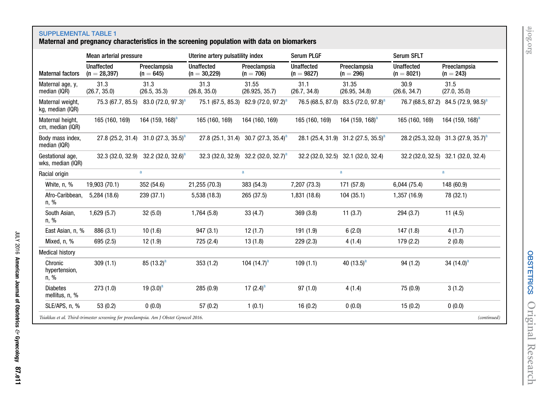# [ajog.org](http://www.AJOG.org)

<span id="page-10-0"></span>SUPPLEMENTAL TABLE 1 Maternal and pregnancy characteristics in the screening population with data on biomarkers

|                                       | Mean arterial pressure                                                                |                                | Uterine artery pulsatility index    |                                                  | <b>Serum PLGF</b>                 |                                                  | Serum SFLT                        |                                                  |
|---------------------------------------|---------------------------------------------------------------------------------------|--------------------------------|-------------------------------------|--------------------------------------------------|-----------------------------------|--------------------------------------------------|-----------------------------------|--------------------------------------------------|
| <b>Maternal factors</b>               | <b>Unaffected</b><br>$(n = 28, 397)$                                                  | Preeclampsia<br>$(n = 645)$    | <b>Unaffected</b><br>$(n = 30,229)$ | Preeclampsia<br>$(n = 706)$                      | <b>Unaffected</b><br>$(n = 9827)$ | Preeclampsia<br>$(n = 296)$                      | <b>Unaffected</b><br>$(n = 8021)$ | Preeclampsia<br>$(n = 243)$                      |
| Maternal age, y,<br>median (IQR)      | 31.3<br>(26.7, 35.0)                                                                  | 31.3<br>(26.5, 35.3)           | 31.3<br>(26.8, 35.0)                | 31.55<br>(26.925, 35.7)                          | 31.1<br>(26.7, 34.8)              | 31.35<br>(26.95, 34.8)                           | 30.9<br>(26.6, 34.7)              | 31.5<br>(27.0, 35.0)                             |
| Maternal weight,<br>kg, median (IQR)  | 75.3 (67.7, 85.5)                                                                     | 83.0 $(72.0, 97.3)^a$          | 75.1 (67.5, 85.3)                   | 82.9 (72.0, 97.2) <sup>a</sup>                   | 76.5 (68.5, 87.0)                 | 83.5 $(72.0, 97.8)^a$                            | 76.7 (68.5, 87.2)                 | 84.5 (72.9, 98.5) <sup>a</sup>                   |
| Maternal height,<br>cm, median (IQR)  | 165 (160, 169)                                                                        | 164 (159, 168) <sup>a</sup>    | 165 (160, 169)                      | 164 (160, 169)                                   | 165 (160, 169)                    | 164 (159, 168) <sup>a</sup>                      | 165 (160, 169)                    | 164 (159, 168) <sup>a</sup>                      |
| Body mass index,<br>median (IQR)      | 27.8 (25.2, 31.4)                                                                     | 31.0 (27.3, 35.5) <sup>a</sup> |                                     | 27.8 (25.1, 31.4) 30.7 (27.3, 35.4) <sup>a</sup> |                                   | 28.1 (25.4, 31.9) 31.2 (27.5, 35.5) <sup>a</sup> |                                   | 28.2 (25.3, 32.0) 31.3 (27.9, 35.7) <sup>a</sup> |
| Gestational age,<br>wks, median (IQR) | 32.3 (32.0, 32.9)                                                                     | 32.2 (32.0, 32.6) <sup>a</sup> |                                     | 32.3 (32.0, 32.9) 32.2 (32.0, 32.7) <sup>a</sup> |                                   | 32.2 (32.0, 32.5) 32.1 (32.0, 32.4)              |                                   | 32.2 (32.0, 32.5) 32.1 (32.0, 32.4)              |
| Racial origin                         |                                                                                       | $\mathbf{a}$                   |                                     | $\mathbf{a}$                                     |                                   | $\mathbf{a}$                                     |                                   | $\mathbf{a}$                                     |
| White, n, %                           | 19,903 (70.1)                                                                         | 352 (54.6)                     | 21,255 (70.3)                       | 383 (54.3)                                       | 7,207 (73.3)                      | 171 (57.8)                                       | 6,044 (75.4)                      | 148 (60.9)                                       |
| Afro-Caribbean,<br>n, %               | 5,284 (18.6)                                                                          | 239 (37.1)                     | 5,538 (18.3)                        | 265 (37.5)                                       | 1,831 (18.6)                      | 104(35.1)                                        | 1,357 (16.9)                      | 78 (32.1)                                        |
| South Asian,<br>n, %                  | 1,629(5.7)                                                                            | 32(5.0)                        | 1,764(5.8)                          | 33(4.7)                                          | 369 (3.8)                         | 11(3.7)                                          | 294 (3.7)                         | 11(4.5)                                          |
| East Asian, n, %                      | 886 (3.1)                                                                             | 10(1.6)                        | 947(3.1)                            | 12(1.7)                                          | 191 (1.9)                         | 6(2.0)                                           | 147(1.8)                          | 4(1.7)                                           |
| Mixed, n, %                           | 695 (2.5)                                                                             | 12(1.9)                        | 725 (2.4)                           | 13(1.8)                                          | 229(2.3)                          | 4(1.4)                                           | 179 (2.2)                         | 2(0.8)                                           |
| <b>Medical history</b>                |                                                                                       |                                |                                     |                                                  |                                   |                                                  |                                   |                                                  |
| Chronic<br>hypertension,<br>n, %      | 309(1.1)                                                                              | $85(13.2)^a$                   | 353(1.2)                            | 104 $(14.7)^a$                                   | 109(1.1)                          | 40 $(13.5)^a$                                    | 94(1.2)                           | 34 $(14.0)^a$                                    |
| <b>Diabetes</b><br>mellitus, n, %     | 273(1.0)                                                                              | 19 $(3.0)^a$                   | 285 (0.9)                           | 17 $(2.4)^a$                                     | 97(1.0)                           | 4(1.4)                                           | 75 (0.9)                          | 3(1.2)                                           |
| SLE/APS, n, %                         | 53(0.2)                                                                               | 0(0.0)                         | 57(0.2)                             | 1(0.1)                                           | 16(0.2)                           | 0(0.0)                                           | 15(0.2)                           | 0(0.0)                                           |
|                                       | Tsiakkas et al. Third-trimester screening for preeclampsia. Am J Obstet Gynecol 2016. |                                |                                     |                                                  |                                   |                                                  |                                   | (continued)                                      |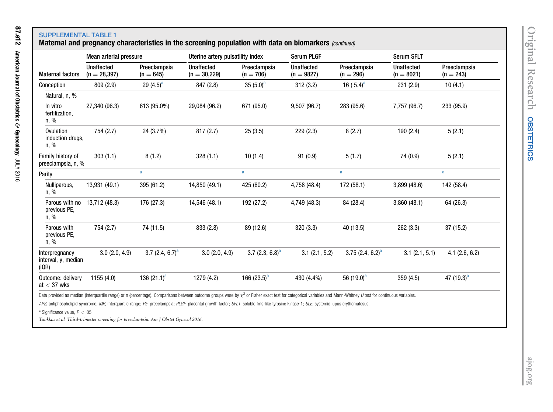## Maternal and pregnancy characteristics in the screening population with data on biomarkers (continued)

|                                                | Mean arterial pressure              |                             | Uterine artery pulsatility index                                                                                                                                                                                      |                             | <b>Serum PLGF</b>                 |                             | <b>Serum SFLT</b>                 |                             |
|------------------------------------------------|-------------------------------------|-----------------------------|-----------------------------------------------------------------------------------------------------------------------------------------------------------------------------------------------------------------------|-----------------------------|-----------------------------------|-----------------------------|-----------------------------------|-----------------------------|
| <b>Maternal factors</b>                        | <b>Unaffected</b><br>$(n = 28,397)$ | Preeclampsia<br>$(n = 645)$ | <b>Unaffected</b><br>$(n = 30,229)$                                                                                                                                                                                   | Preeclampsia<br>$(n = 706)$ | <b>Unaffected</b><br>$(n = 9827)$ | Preeclampsia<br>$(n = 296)$ | <b>Unaffected</b><br>$(n = 8021)$ | Preeclampsia<br>$(n = 243)$ |
| Conception                                     | 809 (2.9)                           | 29 $(4.5)^a$                | 847 (2.8)                                                                                                                                                                                                             | 35 $(5.0)^a$                | 312(3.2)                          | 16 $(5.4)^a$                | 231 (2.9)                         | 10(4.1)                     |
| Natural, n, %                                  |                                     |                             |                                                                                                                                                                                                                       |                             |                                   |                             |                                   |                             |
| In vitro<br>fertilization,<br>n, %             | 27,340 (96.3)                       | 613 (95.0%)                 | 29,084 (96.2)                                                                                                                                                                                                         | 671 (95.0)                  | 9,507 (96.7)                      | 283 (95.6)                  | 7,757 (96.7)                      | 233 (95.9)                  |
| Ovulation<br>induction drugs,<br>n, %          | 754 (2.7)                           | 24 (3.7%)                   | 817(2.7)                                                                                                                                                                                                              | 25(3.5)                     | 229(2.3)                          | 8(2.7)                      | 190 (2.4)                         | 5(2.1)                      |
| Family history of<br>preeclampsia, n, %        | 303(1.1)                            | 8(1.2)                      | 328(1.1)                                                                                                                                                                                                              | 10(1.4)                     | 91 (0.9)                          | 5(1.7)                      | 74 (0.9)                          | 5(2.1)                      |
| Parity                                         |                                     | a                           |                                                                                                                                                                                                                       | a                           |                                   | a                           |                                   | a                           |
| Nulliparous,<br>n, %                           | 13,931 (49.1)                       | 395 (61.2)                  | 14,850 (49.1)                                                                                                                                                                                                         | 425 (60.2)                  | 4,758 (48.4)                      | 172 (58.1)                  | 3,899 (48.6)                      | 142 (58.4)                  |
| Parous with no<br>previous PE,<br>n, %         | 13,712 (48.3)                       | 176 (27.3)                  | 14,546 (48.1)                                                                                                                                                                                                         | 192 (27.2)                  | 4,749 (48.3)                      | 84 (28.4)                   | 3,860(48.1)                       | 64 (26.3)                   |
| Parous with<br>previous PE,<br>n, %            | 754 (2.7)                           | 74 (11.5)                   | 833 (2.8)                                                                                                                                                                                                             | 89 (12.6)                   | 320 (3.3)                         | 40 (13.5)                   | 262 (3.3)                         | 37 (15.2)                   |
| Interpregnancy<br>interval, y, median<br>(IQR) | 3.0(2.0, 4.9)                       | 3.7 $(2.4, 6.7)^a$          | 3.0(2.0, 4.9)                                                                                                                                                                                                         | 3.7 $(2.3, 6.8)^a$          | 3.1(2.1, 5.2)                     | 3.75 $(2.4, 6.2)^a$         | 3.1(2.1, 5.1)                     | $4.1$ (2.6, 6.2)            |
| Outcome: delivery<br>at $<$ 37 wks             | 1155(4.0)                           | 136 $(21.1)^a$              | 1279 (4.2)                                                                                                                                                                                                            | 166 $(23.5)^a$              | 430 (4.4%)                        | 56 $(19.0)^a$               | 359(4.5)                          | 47 $(19.3)^a$               |
|                                                |                                     |                             | Data provided as median (interquartile range) or n (percentage). Comparisons between outcome groups were by $\chi^2$ or Fisher exact test for categorical variables and Mann-Whitney U test for continuous variables. |                             |                                   |                             |                                   |                             |
|                                                |                                     |                             | APS, antiphospholipid syndrome; IQR, interquartile range; PE, preeclampsia; PLGF, placental growth factor; SFLT, soluble fms-like tyrosine kinase-1; SLE, systemic lupus erythematosus.                               |                             |                                   |                             |                                   |                             |

<sup>a</sup> Significance value,  $P < .05$ .

Tsiakkas et al. Third-trimester screening for preeclampsia. Am J Obstet Gynecol <sup>2016</sup>.

<span id="page-11-0"></span>87.e12

American Journal of Obstetrics

&

Gynecology

JULY 2016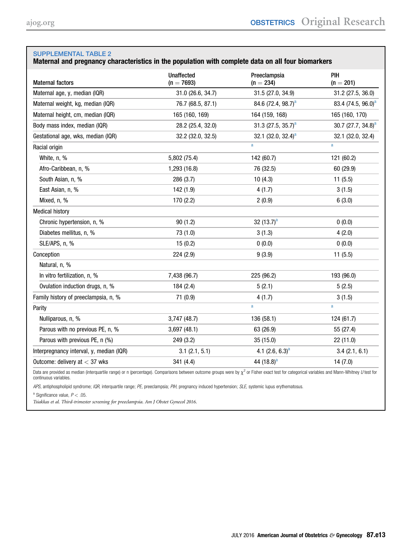### <span id="page-12-0"></span>Maternal and pregnancy characteristics in the population with complete data on all four biomarkers

| <b>Maternal factors</b>                  | <b>Unaffected</b><br>$(n = 7693)$ | Preeclampsia<br>$(n = 234)$    | PIH<br>$(n = 201)$             |
|------------------------------------------|-----------------------------------|--------------------------------|--------------------------------|
| Maternal age, y, median (IQR)            | 31.0 (26.6, 34.7)                 | 31.5 (27.0, 34.9)              | 31.2 (27.5, 36.0)              |
| Maternal weight, kg, median (IQR)        | 76.7 (68.5, 87.1)                 | 84.6 (72.4, 98.7) <sup>a</sup> | 83.4 (74.5, 96.0) <sup>a</sup> |
| Maternal height, cm, median (IQR)        | 165 (160, 169)                    | 164 (159, 168)                 | 165 (160, 170)                 |
| Body mass index, median (IQR)            | 28.2 (25.4, 32.0)                 | 31.3 (27.5, 35.7) <sup>a</sup> | 30.7 (27.7, 34.8) <sup>a</sup> |
| Gestational age, wks, median (IQR)       | 32.2 (32.0, 32.5)                 | 32.1 (32.0, 32.4) <sup>a</sup> | 32.1 (32.0, 32.4)              |
| Racial origin                            |                                   | a                              | a                              |
| White, n, %                              | 5,802 (75.4)                      | 142 (60.7)                     | 121 (60.2)                     |
| Afro-Caribbean, n, %                     | 1,293 (16.8)                      | 76 (32.5)                      | 60 (29.9)                      |
| South Asian, n, %                        | 286 (3.7)                         | 10(4.3)                        | 11(5.5)                        |
| East Asian, n, %                         | 142 (1.9)                         | 4(1.7)                         | 3(1.5)                         |
| Mixed, n, %                              | 170 (2.2)                         | 2(0.9)                         | 6(3.0)                         |
| <b>Medical history</b>                   |                                   |                                |                                |
| Chronic hypertension, n, %               | 90(1.2)                           | 32 $(13.7)^a$                  | 0(0.0)                         |
| Diabetes mellitus, n, %                  | 73 (1.0)                          | 3(1.3)                         | 4(2.0)                         |
| SLE/APS, n, %                            | 15(0.2)                           | 0(0.0)                         | 0(0.0)                         |
| Conception                               | 224(2.9)                          | 9(3.9)                         | 11(5.5)                        |
| Natural, n, %                            |                                   |                                |                                |
| In vitro fertilization, n, %             | 7,438 (96.7)                      | 225 (96.2)                     | 193 (96.0)                     |
| Ovulation induction drugs, n, %          | 184(2.4)                          | 5(2.1)                         | 5(2.5)                         |
| Family history of preeclampsia, n, %     | 71 (0.9)                          | 4(1.7)                         | 3(1.5)                         |
| Parity                                   |                                   | a                              | a                              |
| Nulliparous, n, %                        | 3,747(48.7)                       | 136 (58.1)                     | 124 (61.7)                     |
| Parous with no previous PE, n, %         | 3,697(48.1)                       | 63 (26.9)                      | 55 (27.4)                      |
| Parous with previous PE, n (%)           | 249 (3.2)                         | 35 (15.0)                      | 22 (11.0)                      |
| Interpregnancy interval, y, median (IQR) | 3.1(2.1, 5.1)                     | 4.1 $(2.6, 6.3)^a$             | 3.4(2.1, 6.1)                  |
| Outcome: delivery at $<$ 37 wks          | 341 (4.4)                         | 44 $(18.8)^a$                  | 14(7.0)                        |

Data are provided as median (interquartile range) or n (percentage). Comparisons between outcome groups were by  $\chi^2$  or Fisher exact test for categorical variables and Mann-Whitney U test for continuous variables.

APS, antiphospholipid syndrome; IQR, interquartile range; PE, preeclampsia; PIH, pregnancy induced hypertension; SLE, systemic lupus erythematosus.

<sup>a</sup> Significance value,  $P < .05$ .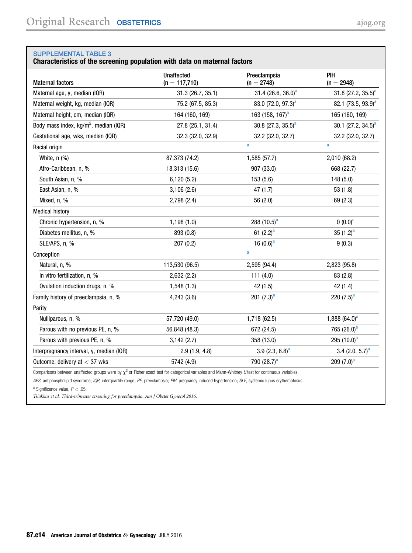#### <span id="page-13-0"></span>Characteristics of the screening population with data on maternal factors

| <b>Maternal factors</b>                           | <b>Unaffected</b><br>$(n = 117,710)$ | Preeclampsia<br>$(n = 2748)$   | PIH<br>$(n = 2948)$            |
|---------------------------------------------------|--------------------------------------|--------------------------------|--------------------------------|
| Maternal age, y, median (IQR)                     | 31.3 (26.7, 35.1)                    | 31.4 (26.6, 36.0) <sup>a</sup> | 31.8 $(27.2, 35.5)^a$          |
| Maternal weight, kg, median (IQR)                 | 75.2 (67.5, 85.3)                    | 83.0 $(72.0, 97.3)^a$          | 82.1 (73.5, 93.9) <sup>a</sup> |
| Maternal height, cm, median (IQR)                 | 164 (160, 169)                       | 163 (158, 167) <sup>a</sup>    | 165 (160, 169)                 |
| Body mass index, kg/m <sup>2</sup> , median (IQR) | 27.8 (25.1, 31.4)                    | 30.8 (27.3, 35.5) <sup>a</sup> | 30.1 (27.2, 34.5) <sup>a</sup> |
| Gestational age, wks, median (IQR)                | 32.3 (32.0, 32.9)                    | 32.2 (32.0, 32.7)              | 32.2 (32.0, 32.7)              |
| Racial origin                                     |                                      | $\mathbf{a}$                   | a                              |
| White, $n$ $%$                                    | 87,373 (74.2)                        | 1,585 (57.7)                   | 2,010 (68.2)                   |
| Afro-Caribbean, n, %                              | 18,313 (15.6)                        | 907 (33.0)                     | 668 (22.7)                     |
| South Asian, n, %                                 | 6,120(5.2)                           | 153 (5.6)                      | 148(5.0)                       |
| East Asian, n, %                                  | 3,106(2.6)                           | 47(1.7)                        | 53(1.8)                        |
| Mixed, n, %                                       | 2,798(2.4)                           | 56(2.0)                        | 69 (2.3)                       |
| <b>Medical history</b>                            |                                      |                                |                                |
| Chronic hypertension, n, %                        | 1,198(1.0)                           | 288 $(10.5)^a$                 | $(0.0)^a$                      |
| Diabetes mellitus, n, %                           | 893 (0.8)                            | 61 $(2.2)^a$                   | 35 $(1.2)^a$                   |
| SLE/APS, n, %                                     | 207(0.2)                             | 16 $(0.6)^a$                   | 9(0.3)                         |
| Conception                                        |                                      | a                              |                                |
| Natural, n, %                                     | 113,530 (96.5)                       | 2,595 (94.4)                   | 2,823 (95.8)                   |
| In vitro fertilization, n, %                      | 2,632 (2.2)                          | 111 $(4.0)$                    | 83(2.8)                        |
| Ovulation induction drugs, n, %                   | 1,548(1.3)                           | 42 (1.5)                       | 42 (1.4)                       |
| Family history of preeclampsia, n, %              | 4,243(3.6)                           | 201 $(7.3)^a$                  | 220 $(7.5)^a$                  |
| Parity                                            |                                      |                                |                                |
| Nulliparous, n, %                                 | 57,720 (49.0)                        | 1,718 (62.5)                   | 1,888 $(64.0)^a$               |
| Parous with no previous PE, n, %                  | 56,848 (48.3)                        | 672 (24.5)                     | 765 $(26.0)^a$                 |
| Parous with previous PE, n, %                     | 3,142(2.7)                           | 358 (13.0)                     | 295 $(10.0)^a$                 |
| Interpregnancy interval, y, median (IQR)          | 2.9(1.9, 4.8)                        | 3.9 $(2.3, 6.8)^a$             | 3.4 $(2.0, 5.7)^a$             |
| Outcome: delivery at $<$ 37 wks                   | 5742 (4.9)                           | 790 (28.7) <sup>a</sup>        | 209 $(7.0)^a$                  |
|                                                   |                                      |                                |                                |

Comparisons between unaffected groups were by  $\chi^2$  or Fisher exact test for categorical variables and Mann-Whitney U test for continuous variables.

APS, antiphospholipid syndrome; IQR, interquartile range; PE, preeclampsia; PIH, pregnancy induced hypertension; SLE, systemic lupus erythematosus.

<sup>a</sup> Significance value,  $P < .05$ .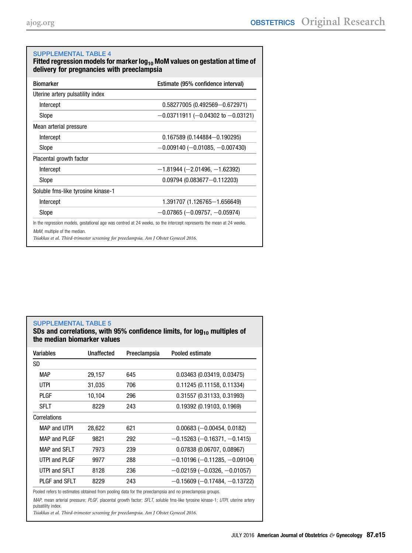<span id="page-14-0"></span>

| <b>Biomarker</b>                   | Estimate (95% confidence interval)    |
|------------------------------------|---------------------------------------|
| Uterine artery pulsatility index   |                                       |
| Intercept                          | $0.58277005(0.492569 - 0.672971)$     |
| Slope                              | $-0.03711911$ (-0.04302 to -0.03121)  |
| Mean arterial pressure             |                                       |
| Intercept                          | $0.167589$ (0.144884-0.190295)        |
| Slope                              | $-0.009140$ ( $-0.01085, -0.007430$ ) |
| Placental growth factor            |                                       |
| Intercept                          | $-1.81944 (-2.01496, -1.62392)$       |
| Slope                              | $0.09794$ (0.083677-0.112203)         |
| Soluble fms-like tyrosine kinase-1 |                                       |
| Intercept                          | 1.391707 (1.126765-1.656649)          |
| Slope                              | $-0.07865 (-0.09757, -0.05974)$       |

### SDs and correlations, with 95% confidence limits, for  $log_{10}$  multiples of the median biomarker values

| Variables       | Unaffected | Preeclampsia | Pooled estimate                        |
|-----------------|------------|--------------|----------------------------------------|
| SD              |            |              |                                        |
| <b>MAP</b>      | 29,157     | 645          | 0.03463(0.03419, 0.03475)              |
| <b>UTPI</b>     | 31,035     | 706          | 0.11245(0.11158, 0.11334)              |
| PLGF            | 10.104     | 296          | 0.31557 (0.31133, 0.31993)             |
| <b>SFLT</b>     | 8229       | 243          | 0.19392 (0.19103, 0.1969)              |
| Correlations    |            |              |                                        |
| MAP and UTPI    | 28.622     | 621          | $0.00683 (-0.00454, 0.0182)$           |
| MAP and PI GF   | 9821       | 292          | $-0.15263$ ( $-0.16371$ , $-0.1415$ )  |
| MAP and SFI T   | 7973       | 239          | 0.07838(0.06707, 0.08967)              |
| UTPI and PI GF  | 9977       | 288          | $-0.10196$ ( $-0.11285$ , $-0.09104$ ) |
| UTPI and SFI T  | 8128       | 236          | $-0.02159$ ( $-0.0326$ , $-0.01057$ )  |
| PI GF and SFI T | 8229       | 243          | $-0.15609$ ( $-0.17484$ , $-0.13722$ ) |
|                 |            |              |                                        |

Pooled refers to estimates obtained from pooling data for the preeclampsia and no preeclampsia groups.

MAP, mean arterial pressure; PLGF, placental growth factor; SFLT, soluble fms-like tyrosine kinase-1; UTPI, uterine artery pulsatility index.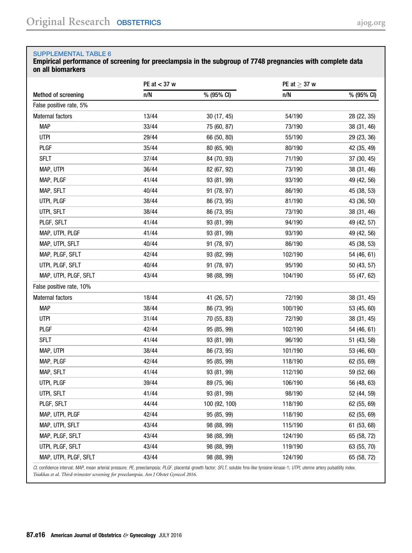<span id="page-15-0"></span>Empirical performance of screening for preeclampsia in the subgroup of 7748 pregnancies with complete data on all biomarkers

|                          | PE at $<$ 37 w |               | PE at $\geq$ 37 w |             |
|--------------------------|----------------|---------------|-------------------|-------------|
| Method of screening      | n/N            | % (95% CI)    | n/N               | % (95% CI)  |
| False positive rate, 5%  |                |               |                   |             |
| Maternal factors         | 13/44          | 30 (17, 45)   | 54/190            | 28 (22, 35) |
| <b>MAP</b>               | 33/44          | 75 (60, 87)   | 73/190            | 38 (31, 46) |
| <b>UTPI</b>              | 29/44          | 66 (50, 80)   | 55/190            | 29 (23, 36) |
| <b>PLGF</b>              | 35/44          | 80 (65, 90)   | 80/190            | 42 (35, 49) |
| <b>SFLT</b>              | 37/44          | 84 (70, 93)   | 71/190            | 37 (30, 45) |
| MAP, UTPI                | 36/44          | 82 (67, 92)   | 73/190            | 38 (31, 46) |
| MAP, PLGF                | 41/44          | 93 (81, 99)   | 93/190            | 49 (42, 56) |
| MAP, SFLT                | 40/44          | 91 (78, 97)   | 86/190            | 45 (38, 53) |
| UTPI, PLGF               | 38/44          | 86 (73, 95)   | 81/190            | 43 (36, 50) |
| UTPI, SFLT               | 38/44          | 86 (73, 95)   | 73/190            | 38 (31, 46) |
| PLGF, SFLT               | 41/44          | 93 (81, 99)   | 94/190            | 49 (42, 57) |
| MAP, UTPI, PLGF          | 41/44          | 93 (81, 99)   | 93/190            | 49 (42, 56) |
| MAP, UTPI, SFLT          | 40/44          | 91 (78, 97)   | 86/190            | 45 (38, 53) |
| MAP, PLGF, SFLT          | 42/44          | 93 (82, 99)   | 102/190           | 54 (46, 61) |
| UTPI, PLGF, SFLT         | 40/44          | 91 (78, 97)   | 95/190            | 50 (43, 57) |
| MAP, UTPI, PLGF, SFLT    | 43/44          | 98 (88, 99)   | 104/190           | 55 (47, 62) |
| False positive rate, 10% |                |               |                   |             |
| Maternal factors         | 18/44          | 41 (26, 57)   | 72/190            | 38 (31, 45) |
| <b>MAP</b>               | 38/44          | 86 (73, 95)   | 100/190           | 53 (45, 60) |
| <b>UTPI</b>              | 31/44          | 70 (55, 83)   | 72/190            | 38 (31, 45) |
| <b>PLGF</b>              | 42/44          | 95 (85, 99)   | 102/190           | 54 (46, 61) |
| <b>SFLT</b>              | 41/44          | 93 (81, 99)   | 96/190            | 51 (43, 58) |
| MAP, UTPI                | 38/44          | 86 (73, 95)   | 101/190           | 53 (46, 60) |
| MAP, PLGF                | 42/44          | 95 (85, 99)   | 118/190           | 62 (55, 69) |
| MAP, SFLT                | 41/44          | 93 (81, 99)   | 112/190           | 59 (52, 66) |
| UTPI, PLGF               | 39/44          | 89 (75, 96)   | 106/190           | 56 (48, 63) |
| UTPI, SFLT               | 41/44          | 93 (81, 99)   | 98/190            | 52 (44, 59) |
| PLGF, SFLT               | 44/44          | 100 (92, 100) | 118/190           | 62 (55, 69) |
| MAP, UTPI, PLGF          | 42/44          | 95 (85, 99)   | 118/190           | 62 (55, 69) |
| MAP, UTPI, SFLT          | 43/44          | 98 (88, 99)   | 115/190           | 61 (53, 68) |
| MAP, PLGF, SFLT          | 43/44          | 98 (88, 99)   | 124/190           | 65 (58, 72) |
| UTPI, PLGF, SFLT         | 43/44          | 98 (88, 99)   | 119/190           | 63 (55, 70) |
| MAP, UTPI, PLGF, SFLT    | 43/44          | 98 (88, 99)   | 124/190           | 65 (58, 72) |

CI, confidence interval; MAP, mean arterial pressure; PE, preeclampsia; PLGF, placental growth factor; SFLT, soluble fms-like tyrosine kinase-1; UTPI, uterine artery pulsatility index. Tsiakkas et al. Third-trimester screening for preeclampsia. Am J Obstet Gynecol 2016.